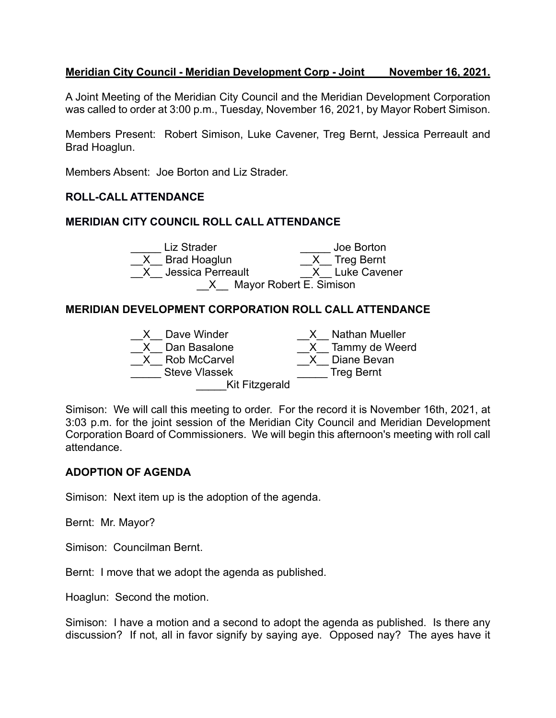## **Meridian City Council - Meridian Development Corp - Joint November 16, 2021.**

A Joint Meeting of the Meridian City Council and the Meridian Development Corporation was called to order at 3:00 p.m., Tuesday, November 16, 2021, by Mayor Robert Simison.

Members Present: Robert Simison, Luke Cavener, Treg Bernt, Jessica Perreault and Brad Hoaglun.

Members Absent: Joe Borton and Liz Strader.

# **ROLL-CALL ATTENDANCE**

#### **MERIDIAN CITY COUNCIL ROLL CALL ATTENDANCE**

|                           | Liz Strader         | Joe Borton     |
|---------------------------|---------------------|----------------|
|                           | X Brad Hoaglun      | X Treg Bernt   |
|                           | X Jessica Perreault | X Luke Cavener |
| X Mayor Robert E. Simison |                     |                |

#### **MERIDIAN DEVELOPMENT CORPORATION ROLL CALL ATTENDANCE**



Simison: We will call this meeting to order. For the record it is November 16th, 2021, at 3:03 p.m. for the joint session of the Meridian City Council and Meridian Development Corporation Board of Commissioners. We will begin this afternoon's meeting with roll call attendance.

#### **ADOPTION OF AGENDA**

Simison: Next item up is the adoption of the agenda.

Bernt: Mr. Mayor?

Simison: Councilman Bernt.

Bernt: I move that we adopt the agenda as published.

Hoaglun: Second the motion.

Simison: I have a motion and a second to adopt the agenda as published. Is there any discussion? If not, all in favor signify by saying aye. Opposed nay? The ayes have it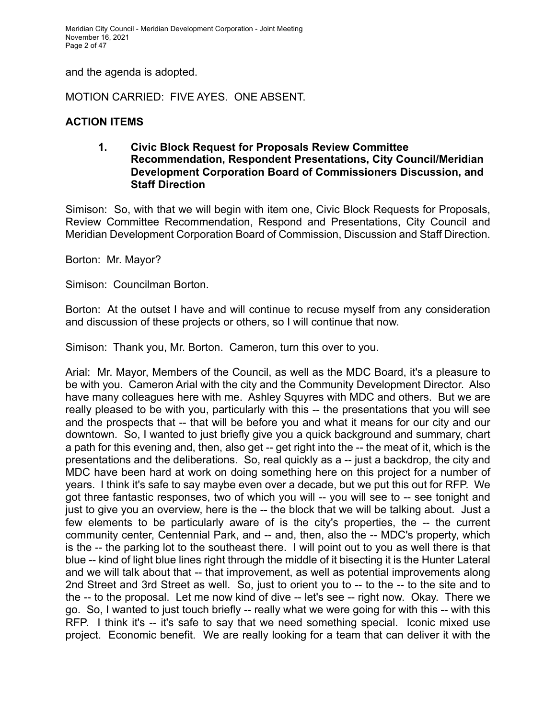Meridian City Council - Meridian Development Corporation - Joint Meeting November 16, 2021 Page 2 of 47

and the agenda is adopted.

MOTION CARRIED: FIVE AYES. ONE ABSENT.

## **ACTION ITEMS**

#### **1. Civic Block Request for Proposals Review Committee Recommendation, Respondent Presentations, City Council/Meridian Development Corporation Board of Commissioners Discussion, and Staff Direction**

Simison: So, with that we will begin with item one, Civic Block Requests for Proposals, Review Committee Recommendation, Respond and Presentations, City Council and Meridian Development Corporation Board of Commission, Discussion and Staff Direction.

Borton: Mr. Mayor?

Simison: Councilman Borton.

Borton: At the outset I have and will continue to recuse myself from any consideration and discussion of these projects or others, so I will continue that now.

Simison: Thank you, Mr. Borton. Cameron, turn this over to you.

Arial: Mr. Mayor, Members of the Council, as well as the MDC Board, it's a pleasure to be with you. Cameron Arial with the city and the Community Development Director. Also have many colleagues here with me. Ashley Squyres with MDC and others. But we are really pleased to be with you, particularly with this -- the presentations that you will see and the prospects that -- that will be before you and what it means for our city and our downtown. So, I wanted to just briefly give you a quick background and summary, chart a path for this evening and, then, also get -- get right into the -- the meat of it, which is the presentations and the deliberations. So, real quickly as a -- just a backdrop, the city and MDC have been hard at work on doing something here on this project for a number of years. I think it's safe to say maybe even over a decade, but we put this out for RFP. We got three fantastic responses, two of which you will -- you will see to -- see tonight and just to give you an overview, here is the -- the block that we will be talking about. Just a few elements to be particularly aware of is the city's properties, the -- the current community center, Centennial Park, and -- and, then, also the -- MDC's property, which is the -- the parking lot to the southeast there. I will point out to you as well there is that blue -- kind of light blue lines right through the middle of it bisecting it is the Hunter Lateral and we will talk about that -- that improvement, as well as potential improvements along 2nd Street and 3rd Street as well. So, just to orient you to -- to the -- to the site and to the -- to the proposal. Let me now kind of dive -- let's see -- right now. Okay. There we go. So, I wanted to just touch briefly -- really what we were going for with this -- with this RFP. I think it's -- it's safe to say that we need something special. Iconic mixed use project. Economic benefit. We are really looking for a team that can deliver it with the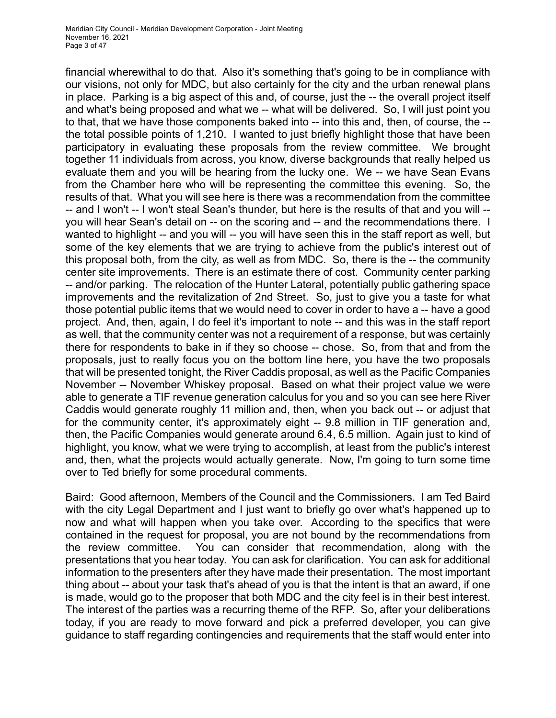financial wherewithal to do that. Also it's something that's going to be in compliance with our visions, not only for MDC, but also certainly for the city and the urban renewal plans in place. Parking is a big aspect of this and, of course, just the -- the overall project itself and what's being proposed and what we -- what will be delivered. So, I will just point you to that, that we have those components baked into -- into this and, then, of course, the - the total possible points of 1,210. I wanted to just briefly highlight those that have been participatory in evaluating these proposals from the review committee. We brought together 11 individuals from across, you know, diverse backgrounds that really helped us evaluate them and you will be hearing from the lucky one. We -- we have Sean Evans from the Chamber here who will be representing the committee this evening. So, the results of that. What you will see here is there was a recommendation from the committee -- and I won't -- I won't steal Sean's thunder, but here is the results of that and you will -you will hear Sean's detail on -- on the scoring and -- and the recommendations there. I wanted to highlight -- and you will -- you will have seen this in the staff report as well, but some of the key elements that we are trying to achieve from the public's interest out of this proposal both, from the city, as well as from MDC. So, there is the -- the community center site improvements. There is an estimate there of cost. Community center parking -- and/or parking. The relocation of the Hunter Lateral, potentially public gathering space improvements and the revitalization of 2nd Street. So, just to give you a taste for what those potential public items that we would need to cover in order to have a -- have a good project. And, then, again, I do feel it's important to note -- and this was in the staff report as well, that the community center was not a requirement of a response, but was certainly there for respondents to bake in if they so choose -- chose. So, from that and from the proposals, just to really focus you on the bottom line here, you have the two proposals that will be presented tonight, the River Caddis proposal, as well as the Pacific Companies November -- November Whiskey proposal. Based on what their project value we were able to generate a TIF revenue generation calculus for you and so you can see here River Caddis would generate roughly 11 million and, then, when you back out -- or adjust that for the community center, it's approximately eight -- 9.8 million in TIF generation and, then, the Pacific Companies would generate around 6.4, 6.5 million. Again just to kind of highlight, you know, what we were trying to accomplish, at least from the public's interest and, then, what the projects would actually generate. Now, I'm going to turn some time over to Ted briefly for some procedural comments.

Baird: Good afternoon, Members of the Council and the Commissioners. I am Ted Baird with the city Legal Department and I just want to briefly go over what's happened up to now and what will happen when you take over. According to the specifics that were contained in the request for proposal, you are not bound by the recommendations from the review committee. You can consider that recommendation, along with the presentations that you hear today. You can ask for clarification. You can ask for additional information to the presenters after they have made their presentation. The most important thing about -- about your task that's ahead of you is that the intent is that an award, if one is made, would go to the proposer that both MDC and the city feel is in their best interest. The interest of the parties was a recurring theme of the RFP. So, after your deliberations today, if you are ready to move forward and pick a preferred developer, you can give guidance to staff regarding contingencies and requirements that the staff would enter into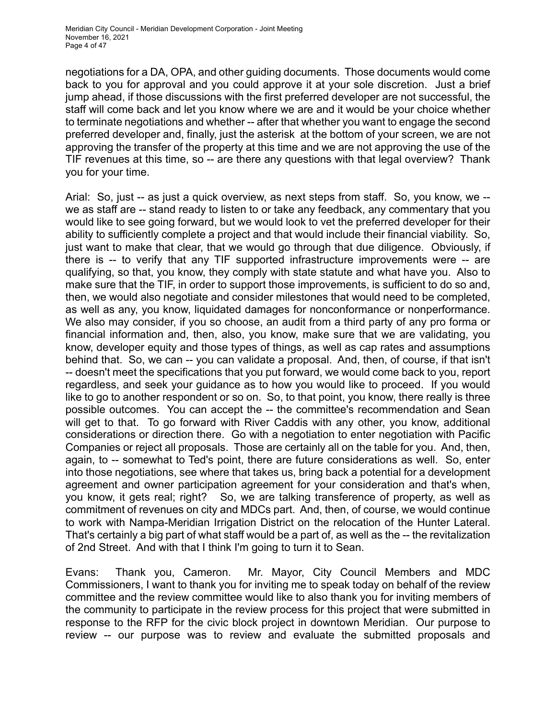negotiations for a DA, OPA, and other guiding documents. Those documents would come back to you for approval and you could approve it at your sole discretion. Just a brief jump ahead, if those discussions with the first preferred developer are not successful, the staff will come back and let you know where we are and it would be your choice whether to terminate negotiations and whether -- after that whether you want to engage the second preferred developer and, finally, just the asterisk at the bottom of your screen, we are not approving the transfer of the property at this time and we are not approving the use of the TIF revenues at this time, so -- are there any questions with that legal overview? Thank you for your time.

Arial: So, just -- as just a quick overview, as next steps from staff. So, you know, we - we as staff are -- stand ready to listen to or take any feedback, any commentary that you would like to see going forward, but we would look to vet the preferred developer for their ability to sufficiently complete a project and that would include their financial viability. So, just want to make that clear, that we would go through that due diligence. Obviously, if there is -- to verify that any TIF supported infrastructure improvements were -- are qualifying, so that, you know, they comply with state statute and what have you. Also to make sure that the TIF, in order to support those improvements, is sufficient to do so and, then, we would also negotiate and consider milestones that would need to be completed, as well as any, you know, liquidated damages for nonconformance or nonperformance. We also may consider, if you so choose, an audit from a third party of any pro forma or financial information and, then, also, you know, make sure that we are validating, you know, developer equity and those types of things, as well as cap rates and assumptions behind that. So, we can -- you can validate a proposal. And, then, of course, if that isn't -- doesn't meet the specifications that you put forward, we would come back to you, report regardless, and seek your guidance as to how you would like to proceed. If you would like to go to another respondent or so on. So, to that point, you know, there really is three possible outcomes. You can accept the -- the committee's recommendation and Sean will get to that. To go forward with River Caddis with any other, you know, additional considerations or direction there. Go with a negotiation to enter negotiation with Pacific Companies or reject all proposals. Those are certainly all on the table for you. And, then, again, to -- somewhat to Ted's point, there are future considerations as well. So, enter into those negotiations, see where that takes us, bring back a potential for a development agreement and owner participation agreement for your consideration and that's when, you know, it gets real; right? So, we are talking transference of property, as well as commitment of revenues on city and MDCs part. And, then, of course, we would continue to work with Nampa-Meridian Irrigation District on the relocation of the Hunter Lateral. That's certainly a big part of what staff would be a part of, as well as the -- the revitalization of 2nd Street. And with that I think I'm going to turn it to Sean.

Evans: Thank you, Cameron. Mr. Mayor, City Council Members and MDC Commissioners, I want to thank you for inviting me to speak today on behalf of the review committee and the review committee would like to also thank you for inviting members of the community to participate in the review process for this project that were submitted in response to the RFP for the civic block project in downtown Meridian. Our purpose to review -- our purpose was to review and evaluate the submitted proposals and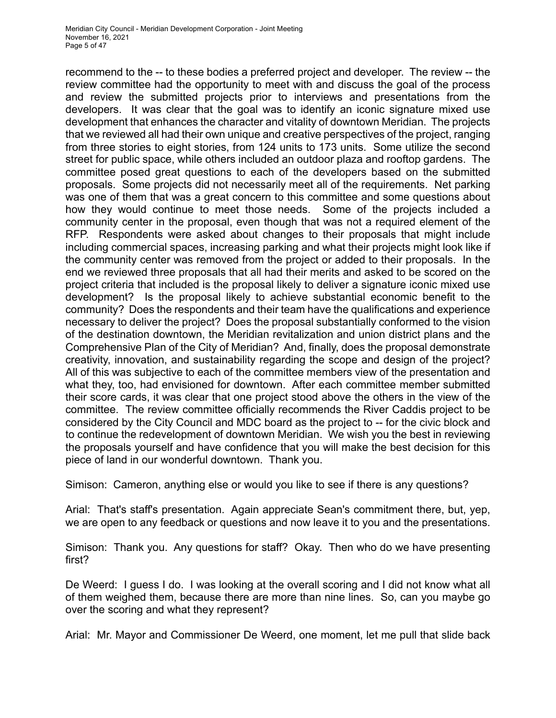recommend to the -- to these bodies a preferred project and developer. The review -- the review committee had the opportunity to meet with and discuss the goal of the process and review the submitted projects prior to interviews and presentations from the developers. It was clear that the goal was to identify an iconic signature mixed use development that enhances the character and vitality of downtown Meridian. The projects that we reviewed all had their own unique and creative perspectives of the project, ranging from three stories to eight stories, from 124 units to 173 units. Some utilize the second street for public space, while others included an outdoor plaza and rooftop gardens. The committee posed great questions to each of the developers based on the submitted proposals. Some projects did not necessarily meet all of the requirements. Net parking was one of them that was a great concern to this committee and some questions about how they would continue to meet those needs. Some of the projects included a community center in the proposal, even though that was not a required element of the RFP. Respondents were asked about changes to their proposals that might include including commercial spaces, increasing parking and what their projects might look like if the community center was removed from the project or added to their proposals. In the end we reviewed three proposals that all had their merits and asked to be scored on the project criteria that included is the proposal likely to deliver a signature iconic mixed use development? Is the proposal likely to achieve substantial economic benefit to the community? Does the respondents and their team have the qualifications and experience necessary to deliver the project? Does the proposal substantially conformed to the vision of the destination downtown, the Meridian revitalization and union district plans and the Comprehensive Plan of the City of Meridian? And, finally, does the proposal demonstrate creativity, innovation, and sustainability regarding the scope and design of the project? All of this was subjective to each of the committee members view of the presentation and what they, too, had envisioned for downtown. After each committee member submitted their score cards, it was clear that one project stood above the others in the view of the committee. The review committee officially recommends the River Caddis project to be considered by the City Council and MDC board as the project to -- for the civic block and to continue the redevelopment of downtown Meridian. We wish you the best in reviewing the proposals yourself and have confidence that you will make the best decision for this piece of land in our wonderful downtown. Thank you.

Simison: Cameron, anything else or would you like to see if there is any questions?

Arial: That's staff's presentation. Again appreciate Sean's commitment there, but, yep, we are open to any feedback or questions and now leave it to you and the presentations.

Simison: Thank you. Any questions for staff? Okay. Then who do we have presenting first?

De Weerd: I guess I do. I was looking at the overall scoring and I did not know what all of them weighed them, because there are more than nine lines. So, can you maybe go over the scoring and what they represent?

Arial: Mr. Mayor and Commissioner De Weerd, one moment, let me pull that slide back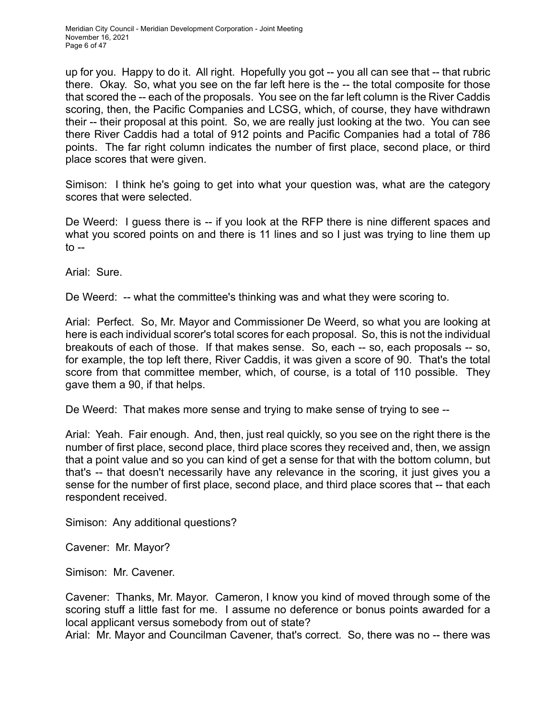up for you. Happy to do it. All right. Hopefully you got -- you all can see that -- that rubric there. Okay. So, what you see on the far left here is the -- the total composite for those that scored the -- each of the proposals. You see on the far left column is the River Caddis scoring, then, the Pacific Companies and LCSG, which, of course, they have withdrawn their -- their proposal at this point. So, we are really just looking at the two. You can see there River Caddis had a total of 912 points and Pacific Companies had a total of 786 points. The far right column indicates the number of first place, second place, or third place scores that were given.

Simison: I think he's going to get into what your question was, what are the category scores that were selected.

De Weerd: I guess there is -- if you look at the RFP there is nine different spaces and what you scored points on and there is 11 lines and so I just was trying to line them up  $to --$ 

Arial: Sure.

De Weerd: -- what the committee's thinking was and what they were scoring to.

Arial: Perfect. So, Mr. Mayor and Commissioner De Weerd, so what you are looking at here is each individual scorer's total scores for each proposal. So, this is not the individual breakouts of each of those. If that makes sense. So, each -- so, each proposals -- so, for example, the top left there, River Caddis, it was given a score of 90. That's the total score from that committee member, which, of course, is a total of 110 possible. They gave them a 90, if that helps.

De Weerd: That makes more sense and trying to make sense of trying to see --

Arial: Yeah. Fair enough. And, then, just real quickly, so you see on the right there is the number of first place, second place, third place scores they received and, then, we assign that a point value and so you can kind of get a sense for that with the bottom column, but that's -- that doesn't necessarily have any relevance in the scoring, it just gives you a sense for the number of first place, second place, and third place scores that -- that each respondent received.

Simison: Any additional questions?

Cavener: Mr. Mayor?

Simison: Mr. Cavener.

Cavener: Thanks, Mr. Mayor. Cameron, I know you kind of moved through some of the scoring stuff a little fast for me. I assume no deference or bonus points awarded for a local applicant versus somebody from out of state?

Arial: Mr. Mayor and Councilman Cavener, that's correct. So, there was no -- there was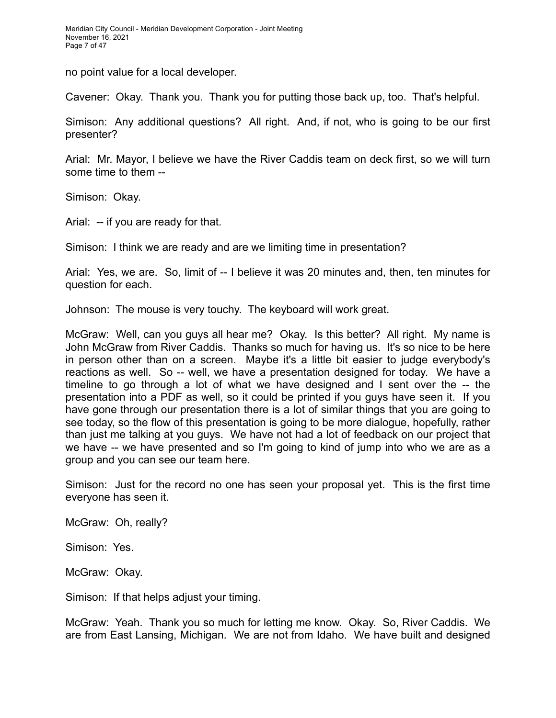no point value for a local developer.

Cavener: Okay. Thank you. Thank you for putting those back up, too. That's helpful.

Simison: Any additional questions? All right. And, if not, who is going to be our first presenter?

Arial: Mr. Mayor, I believe we have the River Caddis team on deck first, so we will turn some time to them --

Simison: Okay.

Arial: -- if you are ready for that.

Simison: I think we are ready and are we limiting time in presentation?

Arial: Yes, we are. So, limit of -- I believe it was 20 minutes and, then, ten minutes for question for each.

Johnson: The mouse is very touchy. The keyboard will work great.

McGraw: Well, can you guys all hear me? Okay. Is this better? All right. My name is John McGraw from River Caddis. Thanks so much for having us. It's so nice to be here in person other than on a screen. Maybe it's a little bit easier to judge everybody's reactions as well. So -- well, we have a presentation designed for today. We have a timeline to go through a lot of what we have designed and I sent over the -- the presentation into a PDF as well, so it could be printed if you guys have seen it. If you have gone through our presentation there is a lot of similar things that you are going to see today, so the flow of this presentation is going to be more dialogue, hopefully, rather than just me talking at you guys. We have not had a lot of feedback on our project that we have -- we have presented and so I'm going to kind of jump into who we are as a group and you can see our team here.

Simison: Just for the record no one has seen your proposal yet. This is the first time everyone has seen it.

McGraw: Oh, really?

Simison: Yes.

McGraw: Okay.

Simison: If that helps adjust your timing.

McGraw: Yeah. Thank you so much for letting me know. Okay. So, River Caddis. We are from East Lansing, Michigan. We are not from Idaho. We have built and designed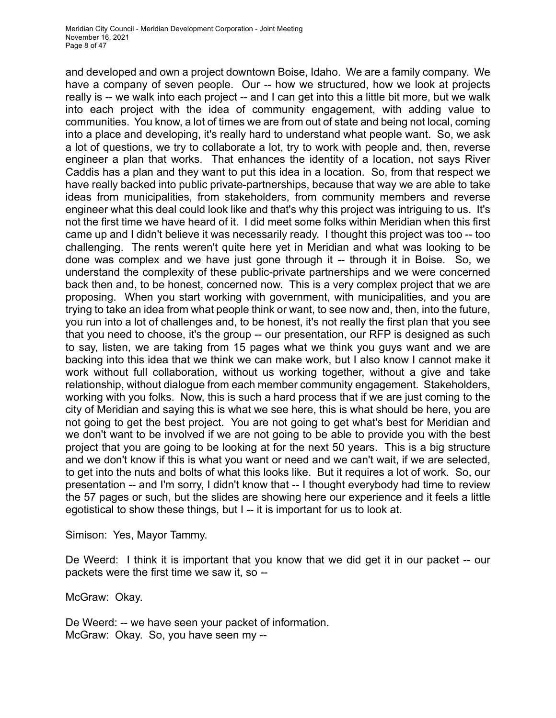and developed and own a project downtown Boise, Idaho. We are a family company. We have a company of seven people. Our -- how we structured, how we look at projects really is -- we walk into each project -- and I can get into this a little bit more, but we walk into each project with the idea of community engagement, with adding value to communities. You know, a lot of times we are from out of state and being not local, coming into a place and developing, it's really hard to understand what people want. So, we ask a lot of questions, we try to collaborate a lot, try to work with people and, then, reverse engineer a plan that works. That enhances the identity of a location, not says River Caddis has a plan and they want to put this idea in a location. So, from that respect we have really backed into public private-partnerships, because that way we are able to take ideas from municipalities, from stakeholders, from community members and reverse engineer what this deal could look like and that's why this project was intriguing to us. It's not the first time we have heard of it. I did meet some folks within Meridian when this first came up and I didn't believe it was necessarily ready. I thought this project was too -- too challenging. The rents weren't quite here yet in Meridian and what was looking to be done was complex and we have just gone through it -- through it in Boise. So, we understand the complexity of these public-private partnerships and we were concerned back then and, to be honest, concerned now. This is a very complex project that we are proposing. When you start working with government, with municipalities, and you are trying to take an idea from what people think or want, to see now and, then, into the future, you run into a lot of challenges and, to be honest, it's not really the first plan that you see that you need to choose, it's the group -- our presentation, our RFP is designed as such to say, listen, we are taking from 15 pages what we think you guys want and we are backing into this idea that we think we can make work, but I also know I cannot make it work without full collaboration, without us working together, without a give and take relationship, without dialogue from each member community engagement. Stakeholders, working with you folks. Now, this is such a hard process that if we are just coming to the city of Meridian and saying this is what we see here, this is what should be here, you are not going to get the best project. You are not going to get what's best for Meridian and we don't want to be involved if we are not going to be able to provide you with the best project that you are going to be looking at for the next 50 years. This is a big structure and we don't know if this is what you want or need and we can't wait, if we are selected, to get into the nuts and bolts of what this looks like. But it requires a lot of work. So, our presentation -- and I'm sorry, I didn't know that -- I thought everybody had time to review the 57 pages or such, but the slides are showing here our experience and it feels a little egotistical to show these things, but I -- it is important for us to look at.

Simison: Yes, Mayor Tammy.

De Weerd: I think it is important that you know that we did get it in our packet -- our packets were the first time we saw it, so --

McGraw: Okay.

De Weerd: -- we have seen your packet of information. McGraw: Okay. So, you have seen my --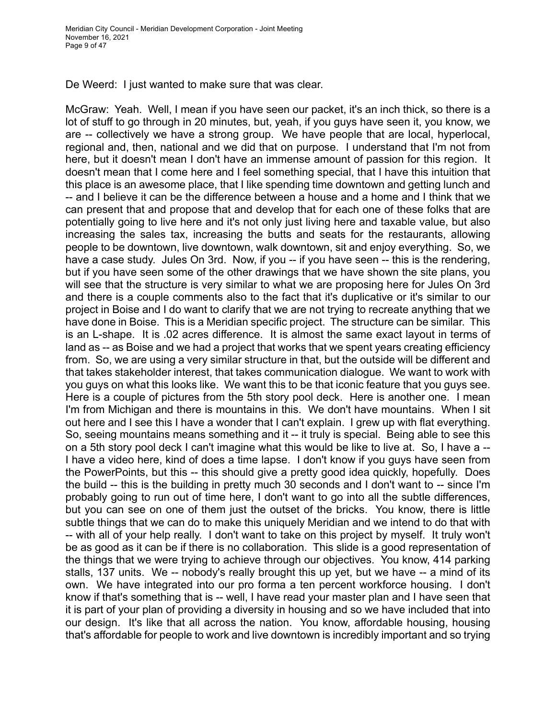De Weerd: I just wanted to make sure that was clear.

McGraw: Yeah. Well, I mean if you have seen our packet, it's an inch thick, so there is a lot of stuff to go through in 20 minutes, but, yeah, if you guys have seen it, you know, we are -- collectively we have a strong group. We have people that are local, hyperlocal, regional and, then, national and we did that on purpose. I understand that I'm not from here, but it doesn't mean I don't have an immense amount of passion for this region. It doesn't mean that I come here and I feel something special, that I have this intuition that this place is an awesome place, that I like spending time downtown and getting lunch and -- and I believe it can be the difference between a house and a home and I think that we can present that and propose that and develop that for each one of these folks that are potentially going to live here and it's not only just living here and taxable value, but also increasing the sales tax, increasing the butts and seats for the restaurants, allowing people to be downtown, live downtown, walk downtown, sit and enjoy everything. So, we have a case study. Jules On 3rd. Now, if you -- if you have seen -- this is the rendering, but if you have seen some of the other drawings that we have shown the site plans, you will see that the structure is very similar to what we are proposing here for Jules On 3rd and there is a couple comments also to the fact that it's duplicative or it's similar to our project in Boise and I do want to clarify that we are not trying to recreate anything that we have done in Boise. This is a Meridian specific project. The structure can be similar. This is an L-shape. It is .02 acres difference. It is almost the same exact layout in terms of land as -- as Boise and we had a project that works that we spent years creating efficiency from. So, we are using a very similar structure in that, but the outside will be different and that takes stakeholder interest, that takes communication dialogue. We want to work with you guys on what this looks like. We want this to be that iconic feature that you guys see. Here is a couple of pictures from the 5th story pool deck. Here is another one. I mean I'm from Michigan and there is mountains in this. We don't have mountains. When I sit out here and I see this I have a wonder that I can't explain. I grew up with flat everything. So, seeing mountains means something and it -- it truly is special. Being able to see this on a 5th story pool deck I can't imagine what this would be like to live at. So, I have a -- I have a video here, kind of does a time lapse. I don't know if you guys have seen from the PowerPoints, but this -- this should give a pretty good idea quickly, hopefully. Does the build -- this is the building in pretty much 30 seconds and I don't want to -- since I'm probably going to run out of time here, I don't want to go into all the subtle differences, but you can see on one of them just the outset of the bricks. You know, there is little subtle things that we can do to make this uniquely Meridian and we intend to do that with -- with all of your help really. I don't want to take on this project by myself. It truly won't be as good as it can be if there is no collaboration. This slide is a good representation of the things that we were trying to achieve through our objectives. You know, 414 parking stalls, 137 units. We -- nobody's really brought this up yet, but we have -- a mind of its own. We have integrated into our pro forma a ten percent workforce housing. I don't know if that's something that is -- well, I have read your master plan and I have seen that it is part of your plan of providing a diversity in housing and so we have included that into our design. It's like that all across the nation. You know, affordable housing, housing that's affordable for people to work and live downtown is incredibly important and so trying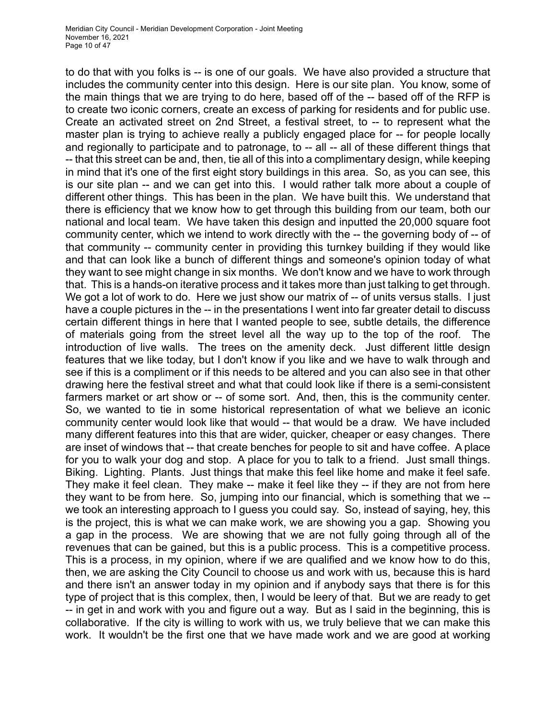to do that with you folks is -- is one of our goals. We have also provided a structure that includes the community center into this design. Here is our site plan. You know, some of the main things that we are trying to do here, based off of the -- based off of the RFP is to create two iconic corners, create an excess of parking for residents and for public use. Create an activated street on 2nd Street, a festival street, to -- to represent what the master plan is trying to achieve really a publicly engaged place for -- for people locally and regionally to participate and to patronage, to -- all -- all of these different things that -- that this street can be and, then, tie all of this into a complimentary design, while keeping in mind that it's one of the first eight story buildings in this area. So, as you can see, this is our site plan -- and we can get into this. I would rather talk more about a couple of different other things. This has been in the plan. We have built this. We understand that there is efficiency that we know how to get through this building from our team, both our national and local team. We have taken this design and inputted the 20,000 square foot community center, which we intend to work directly with the -- the governing body of -- of that community -- community center in providing this turnkey building if they would like and that can look like a bunch of different things and someone's opinion today of what they want to see might change in six months. We don't know and we have to work through that. This is a hands-on iterative process and it takes more than just talking to get through. We got a lot of work to do. Here we just show our matrix of -- of units versus stalls. I just have a couple pictures in the -- in the presentations I went into far greater detail to discuss certain different things in here that I wanted people to see, subtle details, the difference of materials going from the street level all the way up to the top of the roof. The introduction of live walls. The trees on the amenity deck. Just different little design features that we like today, but I don't know if you like and we have to walk through and see if this is a compliment or if this needs to be altered and you can also see in that other drawing here the festival street and what that could look like if there is a semi-consistent farmers market or art show or -- of some sort. And, then, this is the community center. So, we wanted to tie in some historical representation of what we believe an iconic community center would look like that would -- that would be a draw. We have included many different features into this that are wider, quicker, cheaper or easy changes. There are inset of windows that -- that create benches for people to sit and have coffee. A place for you to walk your dog and stop. A place for you to talk to a friend. Just small things. Biking. Lighting. Plants. Just things that make this feel like home and make it feel safe. They make it feel clean. They make -- make it feel like they -- if they are not from here they want to be from here. So, jumping into our financial, which is something that we - we took an interesting approach to I guess you could say. So, instead of saying, hey, this is the project, this is what we can make work, we are showing you a gap. Showing you a gap in the process. We are showing that we are not fully going through all of the revenues that can be gained, but this is a public process. This is a competitive process. This is a process, in my opinion, where if we are qualified and we know how to do this, then, we are asking the City Council to choose us and work with us, because this is hard and there isn't an answer today in my opinion and if anybody says that there is for this type of project that is this complex, then, I would be leery of that. But we are ready to get -- in get in and work with you and figure out a way. But as I said in the beginning, this is collaborative. If the city is willing to work with us, we truly believe that we can make this work. It wouldn't be the first one that we have made work and we are good at working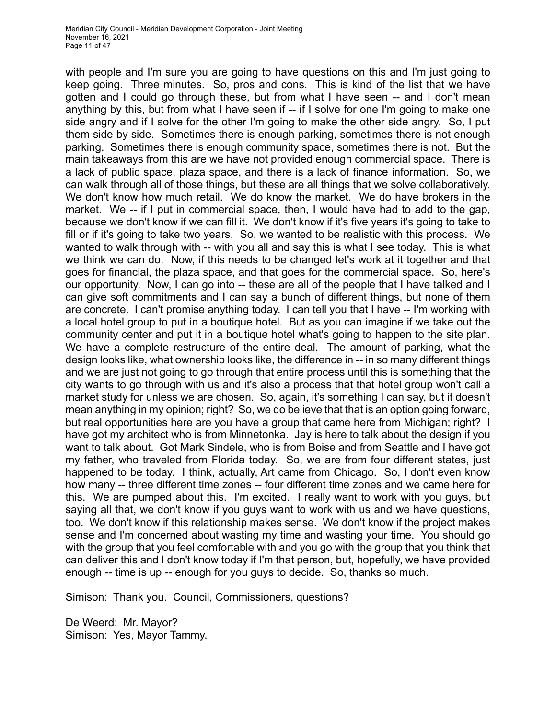with people and I'm sure you are going to have questions on this and I'm just going to keep going. Three minutes. So, pros and cons. This is kind of the list that we have gotten and I could go through these, but from what I have seen -- and I don't mean anything by this, but from what I have seen if -- if I solve for one I'm going to make one side angry and if I solve for the other I'm going to make the other side angry. So, I put them side by side. Sometimes there is enough parking, sometimes there is not enough parking. Sometimes there is enough community space, sometimes there is not. But the main takeaways from this are we have not provided enough commercial space. There is a lack of public space, plaza space, and there is a lack of finance information. So, we can walk through all of those things, but these are all things that we solve collaboratively. We don't know how much retail. We do know the market. We do have brokers in the market. We -- if I put in commercial space, then, I would have had to add to the gap, because we don't know if we can fill it. We don't know if it's five years it's going to take to fill or if it's going to take two years. So, we wanted to be realistic with this process. We wanted to walk through with -- with you all and say this is what I see today. This is what we think we can do. Now, if this needs to be changed let's work at it together and that goes for financial, the plaza space, and that goes for the commercial space. So, here's our opportunity. Now, I can go into -- these are all of the people that I have talked and I can give soft commitments and I can say a bunch of different things, but none of them are concrete. I can't promise anything today. I can tell you that I have -- I'm working with a local hotel group to put in a boutique hotel. But as you can imagine if we take out the community center and put it in a boutique hotel what's going to happen to the site plan. We have a complete restructure of the entire deal. The amount of parking, what the design looks like, what ownership looks like, the difference in -- in so many different things and we are just not going to go through that entire process until this is something that the city wants to go through with us and it's also a process that that hotel group won't call a market study for unless we are chosen. So, again, it's something I can say, but it doesn't mean anything in my opinion; right? So, we do believe that that is an option going forward, but real opportunities here are you have a group that came here from Michigan; right? I have got my architect who is from Minnetonka. Jay is here to talk about the design if you want to talk about. Got Mark Sindele, who is from Boise and from Seattle and I have got my father, who traveled from Florida today. So, we are from four different states, just happened to be today. I think, actually, Art came from Chicago. So, I don't even know how many -- three different time zones -- four different time zones and we came here for this. We are pumped about this. I'm excited. I really want to work with you guys, but saying all that, we don't know if you guys want to work with us and we have questions, too. We don't know if this relationship makes sense. We don't know if the project makes sense and I'm concerned about wasting my time and wasting your time. You should go with the group that you feel comfortable with and you go with the group that you think that can deliver this and I don't know today if I'm that person, but, hopefully, we have provided enough -- time is up -- enough for you guys to decide. So, thanks so much.

Simison: Thank you. Council, Commissioners, questions?

De Weerd: Mr. Mayor? Simison: Yes, Mayor Tammy.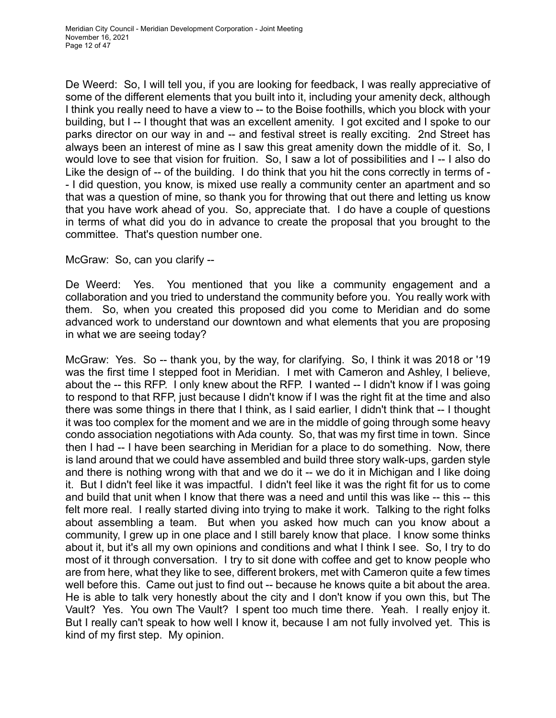De Weerd: So, I will tell you, if you are looking for feedback, I was really appreciative of some of the different elements that you built into it, including your amenity deck, although I think you really need to have a view to -- to the Boise foothills, which you block with your building, but I -- I thought that was an excellent amenity. I got excited and I spoke to our parks director on our way in and -- and festival street is really exciting. 2nd Street has always been an interest of mine as I saw this great amenity down the middle of it. So, I would love to see that vision for fruition. So, I saw a lot of possibilities and I -- I also do Like the design of -- of the building. I do think that you hit the cons correctly in terms of - - I did question, you know, is mixed use really a community center an apartment and so that was a question of mine, so thank you for throwing that out there and letting us know that you have work ahead of you. So, appreciate that. I do have a couple of questions in terms of what did you do in advance to create the proposal that you brought to the committee. That's question number one.

McGraw: So, can you clarify --

De Weerd: Yes. You mentioned that you like a community engagement and a collaboration and you tried to understand the community before you. You really work with them. So, when you created this proposed did you come to Meridian and do some advanced work to understand our downtown and what elements that you are proposing in what we are seeing today?

McGraw: Yes. So -- thank you, by the way, for clarifying. So, I think it was 2018 or '19 was the first time I stepped foot in Meridian. I met with Cameron and Ashley, I believe, about the -- this RFP. I only knew about the RFP. I wanted -- I didn't know if I was going to respond to that RFP, just because I didn't know if I was the right fit at the time and also there was some things in there that I think, as I said earlier, I didn't think that -- I thought it was too complex for the moment and we are in the middle of going through some heavy condo association negotiations with Ada county. So, that was my first time in town. Since then I had -- I have been searching in Meridian for a place to do something. Now, there is land around that we could have assembled and build three story walk-ups, garden style and there is nothing wrong with that and we do it -- we do it in Michigan and I like doing it. But I didn't feel like it was impactful. I didn't feel like it was the right fit for us to come and build that unit when I know that there was a need and until this was like -- this -- this felt more real. I really started diving into trying to make it work. Talking to the right folks about assembling a team. But when you asked how much can you know about a community, I grew up in one place and I still barely know that place. I know some thinks about it, but it's all my own opinions and conditions and what I think I see. So, I try to do most of it through conversation. I try to sit done with coffee and get to know people who are from here, what they like to see, different brokers, met with Cameron quite a few times well before this. Came out just to find out -- because he knows quite a bit about the area. He is able to talk very honestly about the city and I don't know if you own this, but The Vault? Yes. You own The Vault? I spent too much time there. Yeah. I really enjoy it. But I really can't speak to how well I know it, because I am not fully involved yet. This is kind of my first step. My opinion.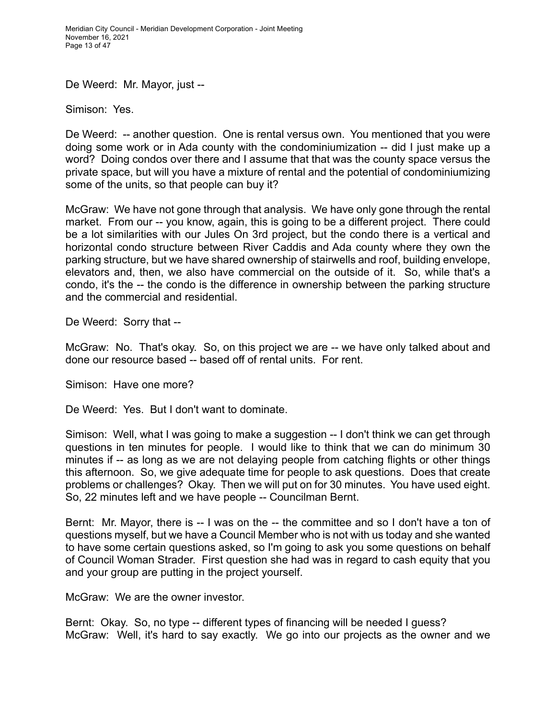Meridian City Council - Meridian Development Corporation - Joint Meeting November 16, 2021 Page 13 of 47

De Weerd: Mr. Mayor, just --

Simison: Yes.

De Weerd: -- another question. One is rental versus own. You mentioned that you were doing some work or in Ada county with the condominiumization -- did I just make up a word? Doing condos over there and I assume that that was the county space versus the private space, but will you have a mixture of rental and the potential of condominiumizing some of the units, so that people can buy it?

McGraw: We have not gone through that analysis. We have only gone through the rental market. From our -- you know, again, this is going to be a different project. There could be a lot similarities with our Jules On 3rd project, but the condo there is a vertical and horizontal condo structure between River Caddis and Ada county where they own the parking structure, but we have shared ownership of stairwells and roof, building envelope, elevators and, then, we also have commercial on the outside of it. So, while that's a condo, it's the -- the condo is the difference in ownership between the parking structure and the commercial and residential.

De Weerd: Sorry that --

McGraw: No. That's okay. So, on this project we are -- we have only talked about and done our resource based -- based off of rental units. For rent.

Simison: Have one more?

De Weerd: Yes. But I don't want to dominate.

Simison: Well, what I was going to make a suggestion -- I don't think we can get through questions in ten minutes for people. I would like to think that we can do minimum 30 minutes if -- as long as we are not delaying people from catching flights or other things this afternoon. So, we give adequate time for people to ask questions. Does that create problems or challenges? Okay. Then we will put on for 30 minutes. You have used eight. So, 22 minutes left and we have people -- Councilman Bernt.

Bernt: Mr. Mayor, there is -- I was on the -- the committee and so I don't have a ton of questions myself, but we have a Council Member who is not with us today and she wanted to have some certain questions asked, so I'm going to ask you some questions on behalf of Council Woman Strader. First question she had was in regard to cash equity that you and your group are putting in the project yourself.

McGraw: We are the owner investor.

Bernt: Okay. So, no type -- different types of financing will be needed I guess? McGraw: Well, it's hard to say exactly. We go into our projects as the owner and we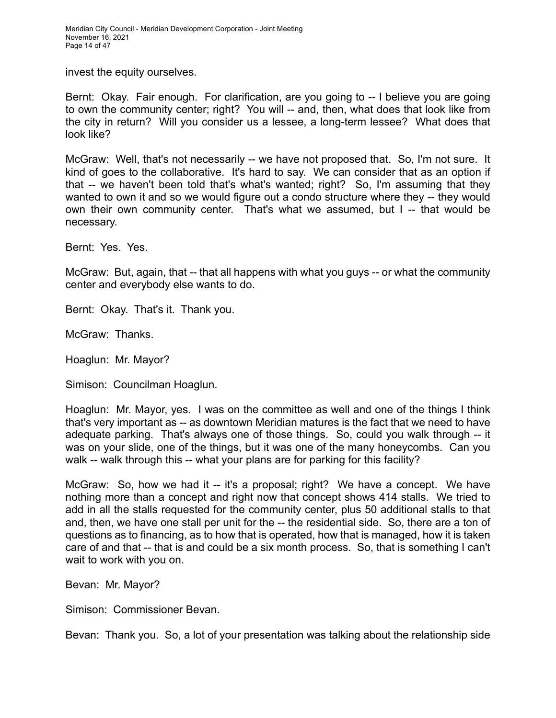Meridian City Council - Meridian Development Corporation - Joint Meeting November 16, 2021 Page 14 of 47

invest the equity ourselves.

Bernt: Okay. Fair enough. For clarification, are you going to -- I believe you are going to own the community center; right? You will -- and, then, what does that look like from the city in return? Will you consider us a lessee, a long-term lessee? What does that look like?

McGraw: Well, that's not necessarily -- we have not proposed that. So, I'm not sure. It kind of goes to the collaborative. It's hard to say. We can consider that as an option if that -- we haven't been told that's what's wanted; right? So, I'm assuming that they wanted to own it and so we would figure out a condo structure where they -- they would own their own community center. That's what we assumed, but I -- that would be necessary.

Bernt: Yes. Yes.

McGraw: But, again, that -- that all happens with what you guys -- or what the community center and everybody else wants to do.

Bernt: Okay. That's it. Thank you.

McGraw: Thanks.

Hoaglun: Mr. Mayor?

Simison: Councilman Hoaglun.

Hoaglun: Mr. Mayor, yes. I was on the committee as well and one of the things I think that's very important as -- as downtown Meridian matures is the fact that we need to have adequate parking. That's always one of those things. So, could you walk through -- it was on your slide, one of the things, but it was one of the many honeycombs. Can you walk -- walk through this -- what your plans are for parking for this facility?

McGraw: So, how we had it -- it's a proposal; right? We have a concept. We have nothing more than a concept and right now that concept shows 414 stalls. We tried to add in all the stalls requested for the community center, plus 50 additional stalls to that and, then, we have one stall per unit for the -- the residential side. So, there are a ton of questions as to financing, as to how that is operated, how that is managed, how it is taken care of and that -- that is and could be a six month process. So, that is something I can't wait to work with you on.

Bevan: Mr. Mayor?

Simison: Commissioner Bevan.

Bevan: Thank you. So, a lot of your presentation was talking about the relationship side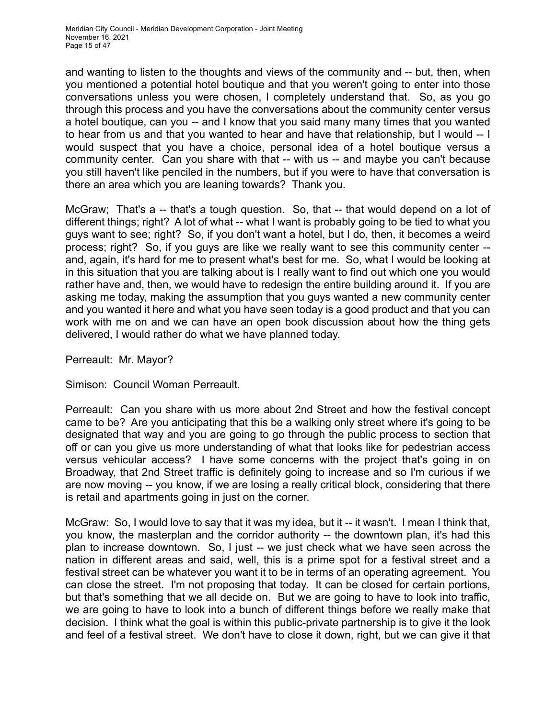and wanting to listen to the thoughts and views of the community and -- but, then, when you mentioned a potential hotel boutique and that you weren't going to enter into those conversations unless you were chosen, I completely understand that. So, as you go through this process and you have the conversations about the community center versus a hotel boutique, can you -- and I know that you said many many times that you wanted to hear from us and that you wanted to hear and have that relationship, but I would -- I would suspect that you have a choice, personal idea of a hotel boutique versus a community center. Can you share with that -- with us -- and maybe you can't because you still haven't like penciled in the numbers, but if you were to have that conversation is there an area which you are leaning towards? Thank you.

McGraw; That's a -- that's a tough question. So, that -- that would depend on a lot of different things; right? A lot of what -- what I want is probably going to be tied to what you guys want to see; right? So, if you don't want a hotel, but I do, then, it becomes a weird process; right? So, if you guys are like we really want to see this community center - and, again, it's hard for me to present what's best for me. So, what I would be looking at in this situation that you are talking about is I really want to find out which one you would rather have and, then, we would have to redesign the entire building around it. If you are asking me today, making the assumption that you guys wanted a new community center and you wanted it here and what you have seen today is a good product and that you can work with me on and we can have an open book discussion about how the thing gets delivered, I would rather do what we have planned today.

Perreault: Mr. Mayor?

Simison: Council Woman Perreault.

Perreault: Can you share with us more about 2nd Street and how the festival concept came to be? Are you anticipating that this be a walking only street where it's going to be designated that way and you are going to go through the public process to section that off or can you give us more understanding of what that looks like for pedestrian access versus vehicular access? I have some concerns with the project that's going in on Broadway, that 2nd Street traffic is definitely going to increase and so I'm curious if we are now moving -- you know, if we are losing a really critical block, considering that there is retail and apartments going in just on the corner.

McGraw: So, I would love to say that it was my idea, but it -- it wasn't. I mean I think that, you know, the masterplan and the corridor authority -- the downtown plan, it's had this plan to increase downtown. So, I just -- we just check what we have seen across the nation in different areas and said, well, this is a prime spot for a festival street and a festival street can be whatever you want it to be in terms of an operating agreement. You can close the street. I'm not proposing that today. It can be closed for certain portions, but that's something that we all decide on. But we are going to have to look into traffic, we are going to have to look into a bunch of different things before we really make that decision. I think what the goal is within this public-private partnership is to give it the look and feel of a festival street. We don't have to close it down, right, but we can give it that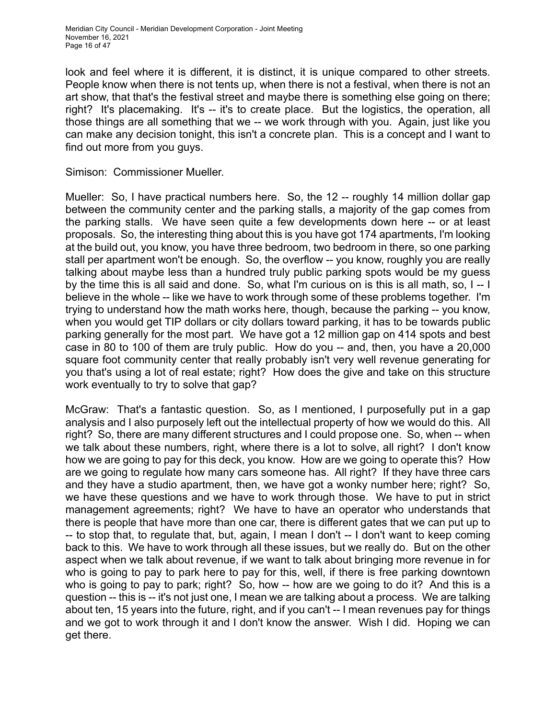look and feel where it is different, it is distinct, it is unique compared to other streets. People know when there is not tents up, when there is not a festival, when there is not an art show, that that's the festival street and maybe there is something else going on there; right? It's placemaking. It's -- it's to create place. But the logistics, the operation, all those things are all something that we -- we work through with you. Again, just like you can make any decision tonight, this isn't a concrete plan. This is a concept and I want to find out more from you guys.

Simison: Commissioner Mueller.

Mueller: So, I have practical numbers here. So, the 12 -- roughly 14 million dollar gap between the community center and the parking stalls, a majority of the gap comes from the parking stalls. We have seen quite a few developments down here -- or at least proposals. So, the interesting thing about this is you have got 174 apartments, I'm looking at the build out, you know, you have three bedroom, two bedroom in there, so one parking stall per apartment won't be enough. So, the overflow -- you know, roughly you are really talking about maybe less than a hundred truly public parking spots would be my guess by the time this is all said and done. So, what I'm curious on is this is all math, so, I -- I believe in the whole -- like we have to work through some of these problems together. I'm trying to understand how the math works here, though, because the parking -- you know, when you would get TIP dollars or city dollars toward parking, it has to be towards public parking generally for the most part. We have got a 12 million gap on 414 spots and best case in 80 to 100 of them are truly public. How do you -- and, then, you have a 20,000 square foot community center that really probably isn't very well revenue generating for you that's using a lot of real estate; right? How does the give and take on this structure work eventually to try to solve that gap?

McGraw: That's a fantastic question. So, as I mentioned, I purposefully put in a gap analysis and I also purposely left out the intellectual property of how we would do this. All right? So, there are many different structures and I could propose one. So, when -- when we talk about these numbers, right, where there is a lot to solve, all right? I don't know how we are going to pay for this deck, you know. How are we going to operate this? How are we going to regulate how many cars someone has. All right? If they have three cars and they have a studio apartment, then, we have got a wonky number here; right? So, we have these questions and we have to work through those. We have to put in strict management agreements; right? We have to have an operator who understands that there is people that have more than one car, there is different gates that we can put up to -- to stop that, to regulate that, but, again, I mean I don't -- I don't want to keep coming back to this. We have to work through all these issues, but we really do. But on the other aspect when we talk about revenue, if we want to talk about bringing more revenue in for who is going to pay to park here to pay for this, well, if there is free parking downtown who is going to pay to park; right? So, how -- how are we going to do it? And this is a question -- this is -- it's not just one, I mean we are talking about a process. We are talking about ten, 15 years into the future, right, and if you can't -- I mean revenues pay for things and we got to work through it and I don't know the answer. Wish I did. Hoping we can get there.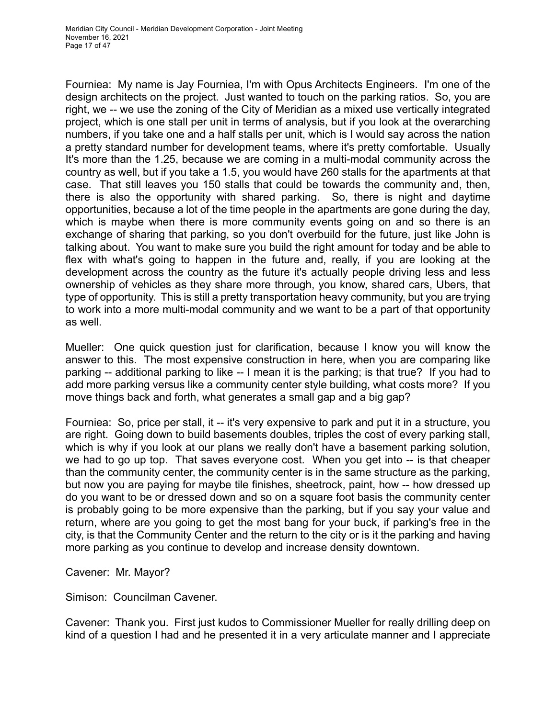Fourniea: My name is Jay Fourniea, I'm with Opus Architects Engineers. I'm one of the design architects on the project. Just wanted to touch on the parking ratios. So, you are right, we -- we use the zoning of the City of Meridian as a mixed use vertically integrated project, which is one stall per unit in terms of analysis, but if you look at the overarching numbers, if you take one and a half stalls per unit, which is I would say across the nation a pretty standard number for development teams, where it's pretty comfortable. Usually It's more than the 1.25, because we are coming in a multi-modal community across the country as well, but if you take a 1.5, you would have 260 stalls for the apartments at that case. That still leaves you 150 stalls that could be towards the community and, then, there is also the opportunity with shared parking. So, there is night and daytime opportunities, because a lot of the time people in the apartments are gone during the day, which is maybe when there is more community events going on and so there is an exchange of sharing that parking, so you don't overbuild for the future, just like John is talking about. You want to make sure you build the right amount for today and be able to flex with what's going to happen in the future and, really, if you are looking at the development across the country as the future it's actually people driving less and less ownership of vehicles as they share more through, you know, shared cars, Ubers, that type of opportunity. This is still a pretty transportation heavy community, but you are trying to work into a more multi-modal community and we want to be a part of that opportunity as well.

Mueller: One quick question just for clarification, because I know you will know the answer to this. The most expensive construction in here, when you are comparing like parking -- additional parking to like -- I mean it is the parking; is that true? If you had to add more parking versus like a community center style building, what costs more? If you move things back and forth, what generates a small gap and a big gap?

Fourniea: So, price per stall, it -- it's very expensive to park and put it in a structure, you are right. Going down to build basements doubles, triples the cost of every parking stall, which is why if you look at our plans we really don't have a basement parking solution, we had to go up top. That saves everyone cost. When you get into -- is that cheaper than the community center, the community center is in the same structure as the parking, but now you are paying for maybe tile finishes, sheetrock, paint, how -- how dressed up do you want to be or dressed down and so on a square foot basis the community center is probably going to be more expensive than the parking, but if you say your value and return, where are you going to get the most bang for your buck, if parking's free in the city, is that the Community Center and the return to the city or is it the parking and having more parking as you continue to develop and increase density downtown.

Cavener: Mr. Mayor?

Simison: Councilman Cavener.

Cavener: Thank you. First just kudos to Commissioner Mueller for really drilling deep on kind of a question I had and he presented it in a very articulate manner and I appreciate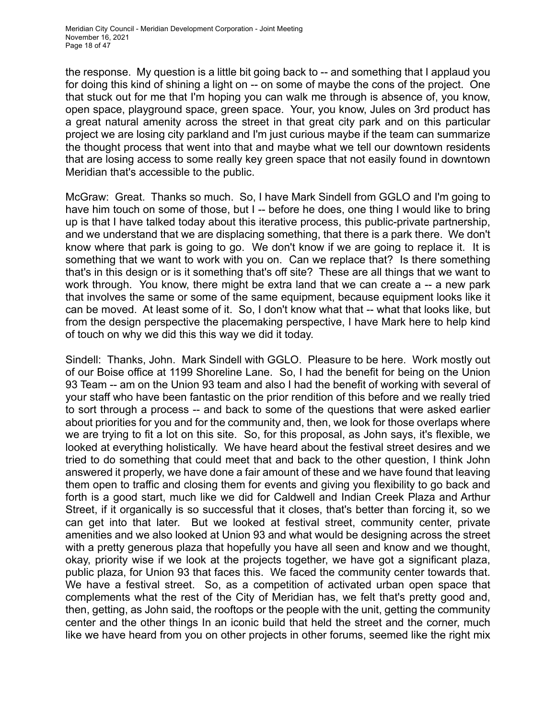the response. My question is a little bit going back to -- and something that I applaud you for doing this kind of shining a light on -- on some of maybe the cons of the project. One that stuck out for me that I'm hoping you can walk me through is absence of, you know, open space, playground space, green space. Your, you know, Jules on 3rd product has a great natural amenity across the street in that great city park and on this particular project we are losing city parkland and I'm just curious maybe if the team can summarize the thought process that went into that and maybe what we tell our downtown residents that are losing access to some really key green space that not easily found in downtown Meridian that's accessible to the public.

McGraw: Great. Thanks so much. So, I have Mark Sindell from GGLO and I'm going to have him touch on some of those, but I -- before he does, one thing I would like to bring up is that I have talked today about this iterative process, this public-private partnership, and we understand that we are displacing something, that there is a park there. We don't know where that park is going to go. We don't know if we are going to replace it. It is something that we want to work with you on. Can we replace that? Is there something that's in this design or is it something that's off site? These are all things that we want to work through. You know, there might be extra land that we can create a -- a new park that involves the same or some of the same equipment, because equipment looks like it can be moved. At least some of it. So, I don't know what that -- what that looks like, but from the design perspective the placemaking perspective, I have Mark here to help kind of touch on why we did this this way we did it today.

Sindell: Thanks, John. Mark Sindell with GGLO. Pleasure to be here. Work mostly out of our Boise office at 1199 Shoreline Lane. So, I had the benefit for being on the Union 93 Team -- am on the Union 93 team and also I had the benefit of working with several of your staff who have been fantastic on the prior rendition of this before and we really tried to sort through a process -- and back to some of the questions that were asked earlier about priorities for you and for the community and, then, we look for those overlaps where we are trying to fit a lot on this site. So, for this proposal, as John says, it's flexible, we looked at everything holistically. We have heard about the festival street desires and we tried to do something that could meet that and back to the other question, I think John answered it properly, we have done a fair amount of these and we have found that leaving them open to traffic and closing them for events and giving you flexibility to go back and forth is a good start, much like we did for Caldwell and Indian Creek Plaza and Arthur Street, if it organically is so successful that it closes, that's better than forcing it, so we can get into that later. But we looked at festival street, community center, private amenities and we also looked at Union 93 and what would be designing across the street with a pretty generous plaza that hopefully you have all seen and know and we thought, okay, priority wise if we look at the projects together, we have got a significant plaza, public plaza, for Union 93 that faces this. We faced the community center towards that. We have a festival street. So, as a competition of activated urban open space that complements what the rest of the City of Meridian has, we felt that's pretty good and, then, getting, as John said, the rooftops or the people with the unit, getting the community center and the other things In an iconic build that held the street and the corner, much like we have heard from you on other projects in other forums, seemed like the right mix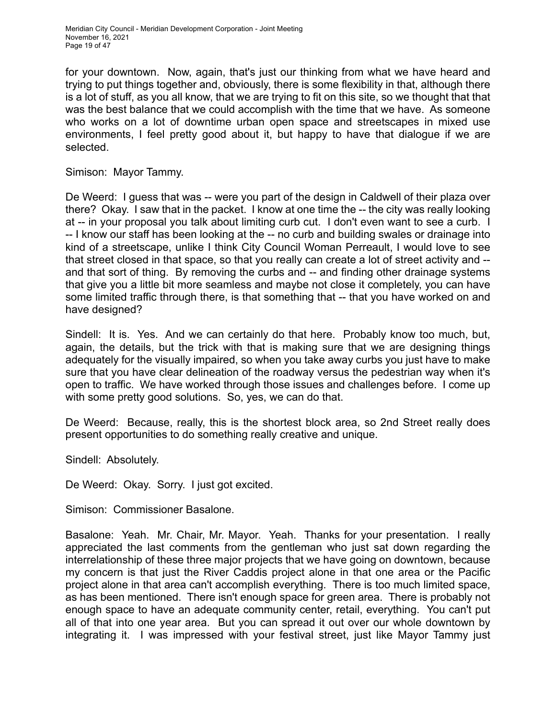for your downtown. Now, again, that's just our thinking from what we have heard and trying to put things together and, obviously, there is some flexibility in that, although there is a lot of stuff, as you all know, that we are trying to fit on this site, so we thought that that was the best balance that we could accomplish with the time that we have. As someone who works on a lot of downtime urban open space and streetscapes in mixed use environments, I feel pretty good about it, but happy to have that dialogue if we are selected.

Simison: Mayor Tammy.

De Weerd: I guess that was -- were you part of the design in Caldwell of their plaza over there? Okay. I saw that in the packet. I know at one time the -- the city was really looking at -- in your proposal you talk about limiting curb cut. I don't even want to see a curb. I -- I know our staff has been looking at the -- no curb and building swales or drainage into kind of a streetscape, unlike I think City Council Woman Perreault, I would love to see that street closed in that space, so that you really can create a lot of street activity and - and that sort of thing. By removing the curbs and -- and finding other drainage systems that give you a little bit more seamless and maybe not close it completely, you can have some limited traffic through there, is that something that -- that you have worked on and have designed?

Sindell: It is. Yes. And we can certainly do that here. Probably know too much, but, again, the details, but the trick with that is making sure that we are designing things adequately for the visually impaired, so when you take away curbs you just have to make sure that you have clear delineation of the roadway versus the pedestrian way when it's open to traffic. We have worked through those issues and challenges before. I come up with some pretty good solutions. So, yes, we can do that.

De Weerd: Because, really, this is the shortest block area, so 2nd Street really does present opportunities to do something really creative and unique.

Sindell: Absolutely.

De Weerd: Okay. Sorry. I just got excited.

Simison: Commissioner Basalone.

Basalone: Yeah. Mr. Chair, Mr. Mayor. Yeah. Thanks for your presentation. I really appreciated the last comments from the gentleman who just sat down regarding the interrelationship of these three major projects that we have going on downtown, because my concern is that just the River Caddis project alone in that one area or the Pacific project alone in that area can't accomplish everything. There is too much limited space, as has been mentioned. There isn't enough space for green area. There is probably not enough space to have an adequate community center, retail, everything. You can't put all of that into one year area. But you can spread it out over our whole downtown by integrating it. I was impressed with your festival street, just like Mayor Tammy just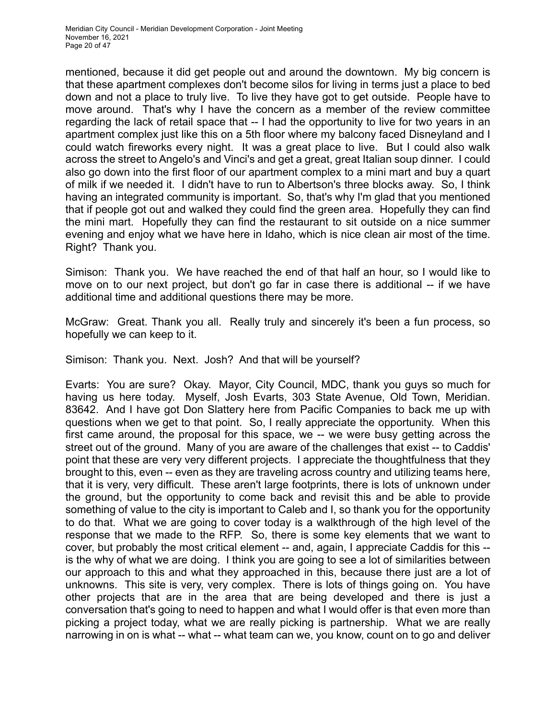mentioned, because it did get people out and around the downtown. My big concern is that these apartment complexes don't become silos for living in terms just a place to bed down and not a place to truly live. To live they have got to get outside. People have to move around. That's why I have the concern as a member of the review committee regarding the lack of retail space that -- I had the opportunity to live for two years in an apartment complex just like this on a 5th floor where my balcony faced Disneyland and I could watch fireworks every night. It was a great place to live. But I could also walk across the street to Angelo's and Vinci's and get a great, great Italian soup dinner. I could also go down into the first floor of our apartment complex to a mini mart and buy a quart of milk if we needed it. I didn't have to run to Albertson's three blocks away. So, I think having an integrated community is important. So, that's why I'm glad that you mentioned that if people got out and walked they could find the green area. Hopefully they can find the mini mart. Hopefully they can find the restaurant to sit outside on a nice summer evening and enjoy what we have here in Idaho, which is nice clean air most of the time. Right? Thank you.

Simison: Thank you. We have reached the end of that half an hour, so I would like to move on to our next project, but don't go far in case there is additional -- if we have additional time and additional questions there may be more.

McGraw: Great. Thank you all. Really truly and sincerely it's been a fun process, so hopefully we can keep to it.

Simison: Thank you. Next. Josh? And that will be yourself?

Evarts: You are sure? Okay. Mayor, City Council, MDC, thank you guys so much for having us here today. Myself, Josh Evarts, 303 State Avenue, Old Town, Meridian. 83642. And I have got Don Slattery here from Pacific Companies to back me up with questions when we get to that point. So, I really appreciate the opportunity. When this first came around, the proposal for this space, we -- we were busy getting across the street out of the ground. Many of you are aware of the challenges that exist -- to Caddis' point that these are very very different projects. I appreciate the thoughtfulness that they brought to this, even -- even as they are traveling across country and utilizing teams here, that it is very, very difficult. These aren't large footprints, there is lots of unknown under the ground, but the opportunity to come back and revisit this and be able to provide something of value to the city is important to Caleb and I, so thank you for the opportunity to do that. What we are going to cover today is a walkthrough of the high level of the response that we made to the RFP. So, there is some key elements that we want to cover, but probably the most critical element -- and, again, I appreciate Caddis for this - is the why of what we are doing. I think you are going to see a lot of similarities between our approach to this and what they approached in this, because there just are a lot of unknowns. This site is very, very complex. There is lots of things going on. You have other projects that are in the area that are being developed and there is just a conversation that's going to need to happen and what I would offer is that even more than picking a project today, what we are really picking is partnership. What we are really narrowing in on is what -- what -- what team can we, you know, count on to go and deliver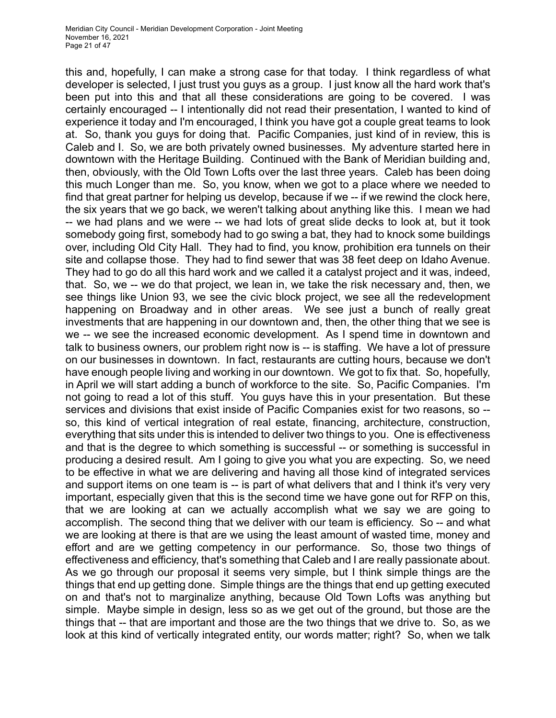this and, hopefully, I can make a strong case for that today. I think regardless of what developer is selected, I just trust you guys as a group. I just know all the hard work that's been put into this and that all these considerations are going to be covered. I was certainly encouraged -- I intentionally did not read their presentation, I wanted to kind of experience it today and I'm encouraged, I think you have got a couple great teams to look at. So, thank you guys for doing that. Pacific Companies, just kind of in review, this is Caleb and I. So, we are both privately owned businesses. My adventure started here in downtown with the Heritage Building. Continued with the Bank of Meridian building and, then, obviously, with the Old Town Lofts over the last three years. Caleb has been doing this much Longer than me. So, you know, when we got to a place where we needed to find that great partner for helping us develop, because if we -- if we rewind the clock here, the six years that we go back, we weren't talking about anything like this. I mean we had -- we had plans and we were -- we had lots of great slide decks to look at, but it took somebody going first, somebody had to go swing a bat, they had to knock some buildings over, including Old City Hall. They had to find, you know, prohibition era tunnels on their site and collapse those. They had to find sewer that was 38 feet deep on Idaho Avenue. They had to go do all this hard work and we called it a catalyst project and it was, indeed, that. So, we -- we do that project, we lean in, we take the risk necessary and, then, we see things like Union 93, we see the civic block project, we see all the redevelopment happening on Broadway and in other areas. We see just a bunch of really great investments that are happening in our downtown and, then, the other thing that we see is we -- we see the increased economic development. As I spend time in downtown and talk to business owners, our problem right now is -- is staffing. We have a lot of pressure on our businesses in downtown. In fact, restaurants are cutting hours, because we don't have enough people living and working in our downtown. We got to fix that. So, hopefully, in April we will start adding a bunch of workforce to the site. So, Pacific Companies. I'm not going to read a lot of this stuff. You guys have this in your presentation. But these services and divisions that exist inside of Pacific Companies exist for two reasons, so - so, this kind of vertical integration of real estate, financing, architecture, construction, everything that sits under this is intended to deliver two things to you. One is effectiveness and that is the degree to which something is successful -- or something is successful in producing a desired result. Am I going to give you what you are expecting. So, we need to be effective in what we are delivering and having all those kind of integrated services and support items on one team is -- is part of what delivers that and I think it's very very important, especially given that this is the second time we have gone out for RFP on this, that we are looking at can we actually accomplish what we say we are going to accomplish. The second thing that we deliver with our team is efficiency. So -- and what we are looking at there is that are we using the least amount of wasted time, money and effort and are we getting competency in our performance. So, those two things of effectiveness and efficiency, that's something that Caleb and I are really passionate about. As we go through our proposal it seems very simple, but I think simple things are the things that end up getting done. Simple things are the things that end up getting executed on and that's not to marginalize anything, because Old Town Lofts was anything but simple. Maybe simple in design, less so as we get out of the ground, but those are the things that -- that are important and those are the two things that we drive to. So, as we look at this kind of vertically integrated entity, our words matter; right? So, when we talk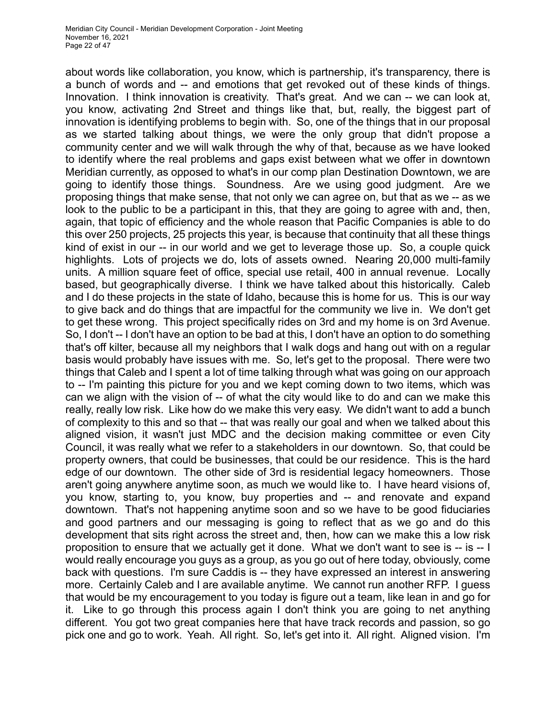about words like collaboration, you know, which is partnership, it's transparency, there is a bunch of words and -- and emotions that get revoked out of these kinds of things. Innovation. I think innovation is creativity. That's great. And we can -- we can look at, you know, activating 2nd Street and things like that, but, really, the biggest part of innovation is identifying problems to begin with. So, one of the things that in our proposal as we started talking about things, we were the only group that didn't propose a community center and we will walk through the why of that, because as we have looked to identify where the real problems and gaps exist between what we offer in downtown Meridian currently, as opposed to what's in our comp plan Destination Downtown, we are going to identify those things. Soundness. Are we using good judgment. Are we proposing things that make sense, that not only we can agree on, but that as we -- as we look to the public to be a participant in this, that they are going to agree with and, then, again, that topic of efficiency and the whole reason that Pacific Companies is able to do this over 250 projects, 25 projects this year, is because that continuity that all these things kind of exist in our -- in our world and we get to leverage those up. So, a couple quick highlights. Lots of projects we do, lots of assets owned. Nearing 20,000 multi-family units. A million square feet of office, special use retail, 400 in annual revenue. Locally based, but geographically diverse. I think we have talked about this historically. Caleb and I do these projects in the state of Idaho, because this is home for us. This is our way to give back and do things that are impactful for the community we live in. We don't get to get these wrong. This project specifically rides on 3rd and my home is on 3rd Avenue. So, I don't -- I don't have an option to be bad at this, I don't have an option to do something that's off kilter, because all my neighbors that I walk dogs and hang out with on a regular basis would probably have issues with me. So, let's get to the proposal. There were two things that Caleb and I spent a lot of time talking through what was going on our approach to -- I'm painting this picture for you and we kept coming down to two items, which was can we align with the vision of -- of what the city would like to do and can we make this really, really low risk. Like how do we make this very easy. We didn't want to add a bunch of complexity to this and so that -- that was really our goal and when we talked about this aligned vision, it wasn't just MDC and the decision making committee or even City Council, it was really what we refer to a stakeholders in our downtown. So, that could be property owners, that could be businesses, that could be our residence. This is the hard edge of our downtown. The other side of 3rd is residential legacy homeowners. Those aren't going anywhere anytime soon, as much we would like to. I have heard visions of, you know, starting to, you know, buy properties and -- and renovate and expand downtown. That's not happening anytime soon and so we have to be good fiduciaries and good partners and our messaging is going to reflect that as we go and do this development that sits right across the street and, then, how can we make this a low risk proposition to ensure that we actually get it done. What we don't want to see is -- is -- I would really encourage you guys as a group, as you go out of here today, obviously, come back with questions. I'm sure Caddis is -- they have expressed an interest in answering more. Certainly Caleb and I are available anytime. We cannot run another RFP. I guess that would be my encouragement to you today is figure out a team, like lean in and go for it. Like to go through this process again I don't think you are going to net anything different. You got two great companies here that have track records and passion, so go pick one and go to work. Yeah. All right. So, let's get into it. All right. Aligned vision. I'm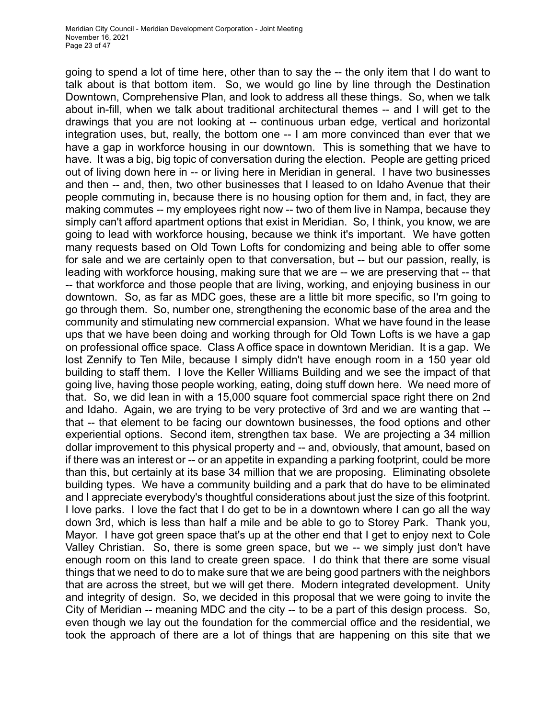going to spend a lot of time here, other than to say the -- the only item that I do want to talk about is that bottom item. So, we would go line by line through the Destination Downtown, Comprehensive Plan, and look to address all these things. So, when we talk about in-fill, when we talk about traditional architectural themes -- and I will get to the drawings that you are not looking at -- continuous urban edge, vertical and horizontal integration uses, but, really, the bottom one -- I am more convinced than ever that we have a gap in workforce housing in our downtown. This is something that we have to have. It was a big, big topic of conversation during the election. People are getting priced out of living down here in -- or living here in Meridian in general. I have two businesses and then -- and, then, two other businesses that I leased to on Idaho Avenue that their people commuting in, because there is no housing option for them and, in fact, they are making commutes -- my employees right now -- two of them live in Nampa, because they simply can't afford apartment options that exist in Meridian. So, I think, you know, we are going to lead with workforce housing, because we think it's important. We have gotten many requests based on Old Town Lofts for condomizing and being able to offer some for sale and we are certainly open to that conversation, but -- but our passion, really, is leading with workforce housing, making sure that we are -- we are preserving that -- that -- that workforce and those people that are living, working, and enjoying business in our downtown. So, as far as MDC goes, these are a little bit more specific, so I'm going to go through them. So, number one, strengthening the economic base of the area and the community and stimulating new commercial expansion. What we have found in the lease ups that we have been doing and working through for Old Town Lofts is we have a gap on professional office space. Class A office space in downtown Meridian. It is a gap. We lost Zennify to Ten Mile, because I simply didn't have enough room in a 150 year old building to staff them. I love the Keller Williams Building and we see the impact of that going live, having those people working, eating, doing stuff down here. We need more of that. So, we did lean in with a 15,000 square foot commercial space right there on 2nd and Idaho. Again, we are trying to be very protective of 3rd and we are wanting that - that -- that element to be facing our downtown businesses, the food options and other experiential options. Second item, strengthen tax base. We are projecting a 34 million dollar improvement to this physical property and -- and, obviously, that amount, based on if there was an interest or -- or an appetite in expanding a parking footprint, could be more than this, but certainly at its base 34 million that we are proposing. Eliminating obsolete building types. We have a community building and a park that do have to be eliminated and I appreciate everybody's thoughtful considerations about just the size of this footprint. I love parks. I love the fact that I do get to be in a downtown where I can go all the way down 3rd, which is less than half a mile and be able to go to Storey Park. Thank you, Mayor. I have got green space that's up at the other end that I get to enjoy next to Cole Valley Christian. So, there is some green space, but we -- we simply just don't have enough room on this land to create green space. I do think that there are some visual things that we need to do to make sure that we are being good partners with the neighbors that are across the street, but we will get there. Modern integrated development. Unity and integrity of design. So, we decided in this proposal that we were going to invite the City of Meridian -- meaning MDC and the city -- to be a part of this design process. So, even though we lay out the foundation for the commercial office and the residential, we took the approach of there are a lot of things that are happening on this site that we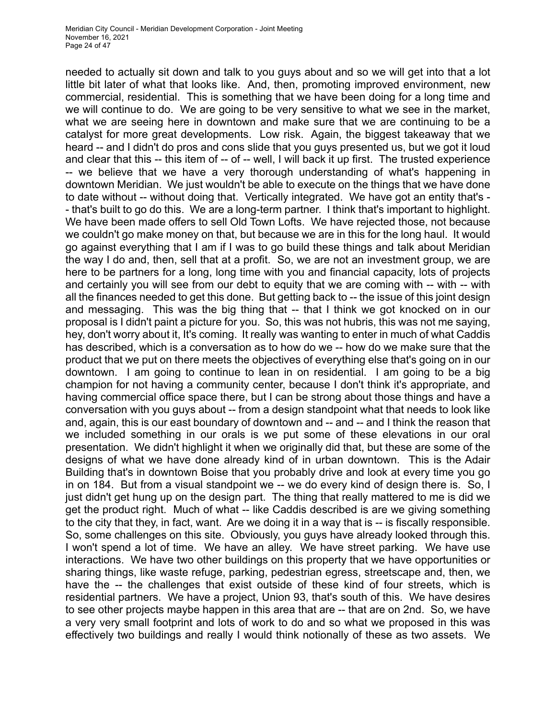needed to actually sit down and talk to you guys about and so we will get into that a lot little bit later of what that looks like. And, then, promoting improved environment, new commercial, residential. This is something that we have been doing for a long time and we will continue to do. We are going to be very sensitive to what we see in the market, what we are seeing here in downtown and make sure that we are continuing to be a catalyst for more great developments. Low risk. Again, the biggest takeaway that we heard -- and I didn't do pros and cons slide that you guys presented us, but we got it loud and clear that this -- this item of -- of -- well, I will back it up first. The trusted experience -- we believe that we have a very thorough understanding of what's happening in downtown Meridian. We just wouldn't be able to execute on the things that we have done to date without -- without doing that. Vertically integrated. We have got an entity that's -- that's built to go do this. We are a long-term partner. I think that's important to highlight. We have been made offers to sell Old Town Lofts. We have rejected those, not because we couldn't go make money on that, but because we are in this for the long haul. It would go against everything that I am if I was to go build these things and talk about Meridian the way I do and, then, sell that at a profit. So, we are not an investment group, we are here to be partners for a long, long time with you and financial capacity, lots of projects and certainly you will see from our debt to equity that we are coming with -- with -- with all the finances needed to get this done. But getting back to -- the issue of this joint design and messaging. This was the big thing that -- that I think we got knocked on in our proposal is I didn't paint a picture for you. So, this was not hubris, this was not me saying, hey, don't worry about it, It's coming. It really was wanting to enter in much of what Caddis has described, which is a conversation as to how do we -- how do we make sure that the product that we put on there meets the objectives of everything else that's going on in our downtown. I am going to continue to lean in on residential. I am going to be a big champion for not having a community center, because I don't think it's appropriate, and having commercial office space there, but I can be strong about those things and have a conversation with you guys about -- from a design standpoint what that needs to look like and, again, this is our east boundary of downtown and -- and -- and I think the reason that we included something in our orals is we put some of these elevations in our oral presentation. We didn't highlight it when we originally did that, but these are some of the designs of what we have done already kind of in urban downtown. This is the Adair Building that's in downtown Boise that you probably drive and look at every time you go in on 184. But from a visual standpoint we -- we do every kind of design there is. So, I just didn't get hung up on the design part. The thing that really mattered to me is did we get the product right. Much of what -- like Caddis described is are we giving something to the city that they, in fact, want. Are we doing it in a way that is -- is fiscally responsible. So, some challenges on this site. Obviously, you guys have already looked through this. I won't spend a lot of time. We have an alley. We have street parking. We have use interactions. We have two other buildings on this property that we have opportunities or sharing things, like waste refuge, parking, pedestrian egress, streetscape and, then, we have the -- the challenges that exist outside of these kind of four streets, which is residential partners. We have a project, Union 93, that's south of this. We have desires to see other projects maybe happen in this area that are -- that are on 2nd. So, we have a very very small footprint and lots of work to do and so what we proposed in this was effectively two buildings and really I would think notionally of these as two assets. We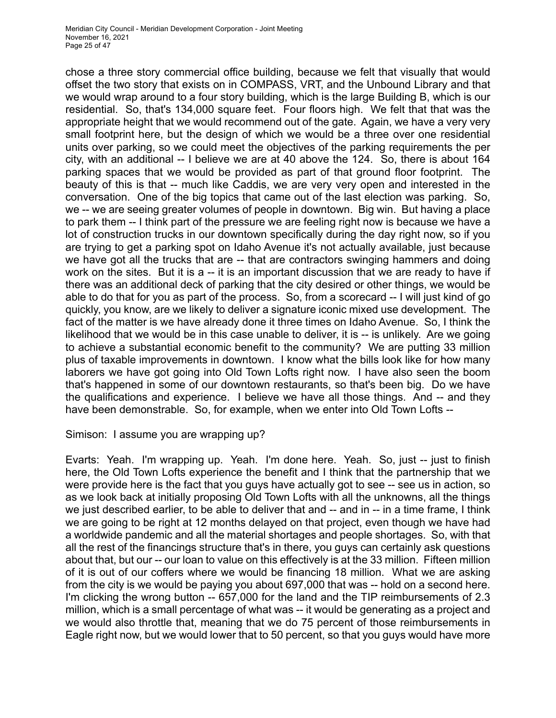chose a three story commercial office building, because we felt that visually that would offset the two story that exists on in COMPASS, VRT, and the Unbound Library and that we would wrap around to a four story building, which is the large Building B, which is our residential. So, that's 134,000 square feet. Four floors high. We felt that that was the appropriate height that we would recommend out of the gate. Again, we have a very very small footprint here, but the design of which we would be a three over one residential units over parking, so we could meet the objectives of the parking requirements the per city, with an additional -- I believe we are at 40 above the 124. So, there is about 164 parking spaces that we would be provided as part of that ground floor footprint. The beauty of this is that -- much like Caddis, we are very very open and interested in the conversation. One of the big topics that came out of the last election was parking. So, we -- we are seeing greater volumes of people in downtown. Big win. But having a place to park them -- I think part of the pressure we are feeling right now is because we have a lot of construction trucks in our downtown specifically during the day right now, so if you are trying to get a parking spot on Idaho Avenue it's not actually available, just because we have got all the trucks that are -- that are contractors swinging hammers and doing work on the sites. But it is a -- it is an important discussion that we are ready to have if there was an additional deck of parking that the city desired or other things, we would be able to do that for you as part of the process. So, from a scorecard -- I will just kind of go quickly, you know, are we likely to deliver a signature iconic mixed use development. The fact of the matter is we have already done it three times on Idaho Avenue. So, I think the likelihood that we would be in this case unable to deliver, it is -- is unlikely. Are we going to achieve a substantial economic benefit to the community? We are putting 33 million plus of taxable improvements in downtown. I know what the bills look like for how many laborers we have got going into Old Town Lofts right now. I have also seen the boom that's happened in some of our downtown restaurants, so that's been big. Do we have the qualifications and experience. I believe we have all those things. And -- and they have been demonstrable. So, for example, when we enter into Old Town Lofts --

#### Simison: I assume you are wrapping up?

Evarts: Yeah. I'm wrapping up. Yeah. I'm done here. Yeah. So, just -- just to finish here, the Old Town Lofts experience the benefit and I think that the partnership that we were provide here is the fact that you guys have actually got to see -- see us in action, so as we look back at initially proposing Old Town Lofts with all the unknowns, all the things we just described earlier, to be able to deliver that and -- and in -- in a time frame, I think we are going to be right at 12 months delayed on that project, even though we have had a worldwide pandemic and all the material shortages and people shortages. So, with that all the rest of the financings structure that's in there, you guys can certainly ask questions about that, but our -- our loan to value on this effectively is at the 33 million. Fifteen million of it is out of our coffers where we would be financing 18 million. What we are asking from the city is we would be paying you about 697,000 that was -- hold on a second here. I'm clicking the wrong button -- 657,000 for the land and the TIP reimbursements of 2.3 million, which is a small percentage of what was -- it would be generating as a project and we would also throttle that, meaning that we do 75 percent of those reimbursements in Eagle right now, but we would lower that to 50 percent, so that you guys would have more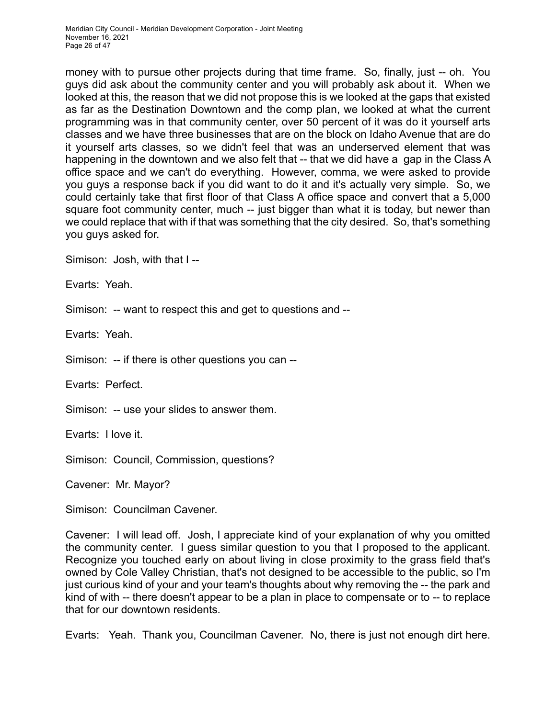money with to pursue other projects during that time frame. So, finally, just -- oh. You guys did ask about the community center and you will probably ask about it. When we looked at this, the reason that we did not propose this is we looked at the gaps that existed as far as the Destination Downtown and the comp plan, we looked at what the current programming was in that community center, over 50 percent of it was do it yourself arts classes and we have three businesses that are on the block on Idaho Avenue that are do it yourself arts classes, so we didn't feel that was an underserved element that was happening in the downtown and we also felt that -- that we did have a gap in the Class A office space and we can't do everything. However, comma, we were asked to provide you guys a response back if you did want to do it and it's actually very simple. So, we could certainly take that first floor of that Class A office space and convert that a 5,000 square foot community center, much -- just bigger than what it is today, but newer than we could replace that with if that was something that the city desired. So, that's something you guys asked for.

Simison: Josh, with that I --

Evarts: Yeah.

Simison: -- want to respect this and get to questions and --

Evarts: Yeah.

Simison: -- if there is other questions you can --

Evarts: Perfect.

Simison: -- use your slides to answer them.

Evarts: I love it.

Simison: Council, Commission, questions?

Cavener: Mr. Mayor?

Simison: Councilman Cavener.

Cavener: I will lead off. Josh, I appreciate kind of your explanation of why you omitted the community center. I guess similar question to you that I proposed to the applicant. Recognize you touched early on about living in close proximity to the grass field that's owned by Cole Valley Christian, that's not designed to be accessible to the public, so I'm just curious kind of your and your team's thoughts about why removing the -- the park and kind of with -- there doesn't appear to be a plan in place to compensate or to -- to replace that for our downtown residents.

Evarts: Yeah. Thank you, Councilman Cavener. No, there is just not enough dirt here.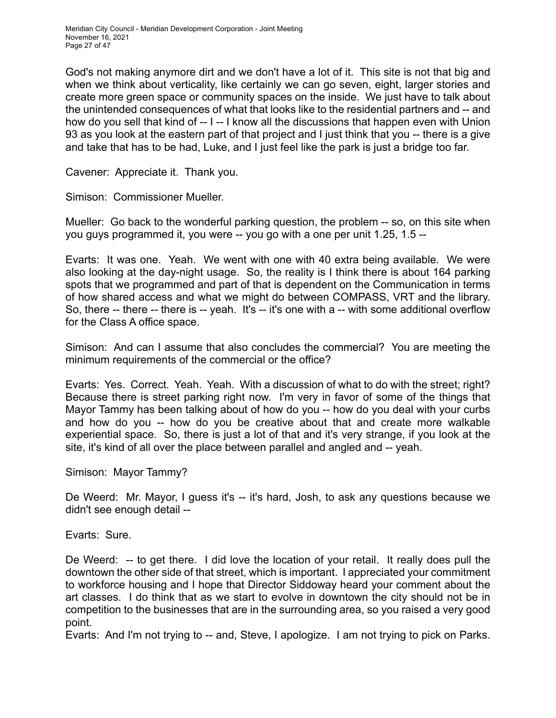God's not making anymore dirt and we don't have a lot of it. This site is not that big and when we think about verticality, like certainly we can go seven, eight, larger stories and create more green space or community spaces on the inside. We just have to talk about the unintended consequences of what that looks like to the residential partners and -- and how do you sell that kind of -- I -- I know all the discussions that happen even with Union 93 as you look at the eastern part of that project and I just think that you -- there is a give and take that has to be had, Luke, and I just feel like the park is just a bridge too far.

Cavener: Appreciate it. Thank you.

Simison: Commissioner Mueller.

Mueller: Go back to the wonderful parking question, the problem -- so, on this site when you guys programmed it, you were -- you go with a one per unit 1.25, 1.5 --

Evarts: It was one. Yeah. We went with one with 40 extra being available. We were also looking at the day-night usage. So, the reality is I think there is about 164 parking spots that we programmed and part of that is dependent on the Communication in terms of how shared access and what we might do between COMPASS, VRT and the library. So, there -- there -- there is -- yeah. It's -- it's one with a -- with some additional overflow for the Class A office space.

Simison: And can I assume that also concludes the commercial? You are meeting the minimum requirements of the commercial or the office?

Evarts: Yes. Correct. Yeah. Yeah. With a discussion of what to do with the street; right? Because there is street parking right now. I'm very in favor of some of the things that Mayor Tammy has been talking about of how do you -- how do you deal with your curbs and how do you -- how do you be creative about that and create more walkable experiential space. So, there is just a lot of that and it's very strange, if you look at the site, it's kind of all over the place between parallel and angled and -- yeah.

Simison: Mayor Tammy?

De Weerd: Mr. Mayor, I guess it's -- it's hard, Josh, to ask any questions because we didn't see enough detail --

Evarts: Sure.

De Weerd: -- to get there. I did love the location of your retail. It really does pull the downtown the other side of that street, which is important. I appreciated your commitment to workforce housing and I hope that Director Siddoway heard your comment about the art classes. I do think that as we start to evolve in downtown the city should not be in competition to the businesses that are in the surrounding area, so you raised a very good point.

Evarts: And I'm not trying to -- and, Steve, I apologize. I am not trying to pick on Parks.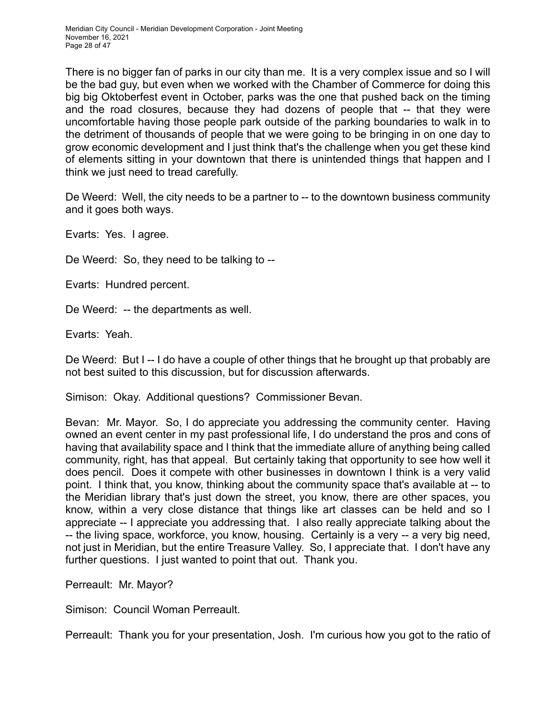There is no bigger fan of parks in our city than me. It is a very complex issue and so I will be the bad guy, but even when we worked with the Chamber of Commerce for doing this big big Oktoberfest event in October, parks was the one that pushed back on the timing and the road closures, because they had dozens of people that -- that they were uncomfortable having those people park outside of the parking boundaries to walk in to the detriment of thousands of people that we were going to be bringing in on one day to grow economic development and I just think that's the challenge when you get these kind of elements sitting in your downtown that there is unintended things that happen and I think we just need to tread carefully.

De Weerd: Well, the city needs to be a partner to -- to the downtown business community and it goes both ways.

Evarts: Yes. I agree.

De Weerd: So, they need to be talking to --

Evarts: Hundred percent.

De Weerd: -- the departments as well.

Evarts: Yeah.

De Weerd: But I -- I do have a couple of other things that he brought up that probably are not best suited to this discussion, but for discussion afterwards.

Simison: Okay. Additional questions? Commissioner Bevan.

Bevan: Mr. Mayor. So, I do appreciate you addressing the community center. Having owned an event center in my past professional life, I do understand the pros and cons of having that availability space and I think that the immediate allure of anything being called community, right, has that appeal. But certainly taking that opportunity to see how well it does pencil. Does it compete with other businesses in downtown I think is a very valid point. I think that, you know, thinking about the community space that's available at -- to the Meridian library that's just down the street, you know, there are other spaces, you know, within a very close distance that things like art classes can be held and so I appreciate -- I appreciate you addressing that. I also really appreciate talking about the -- the living space, workforce, you know, housing. Certainly is a very -- a very big need, not just in Meridian, but the entire Treasure Valley. So, I appreciate that. I don't have any further questions. I just wanted to point that out. Thank you.

Perreault: Mr. Mayor?

Simison: Council Woman Perreault.

Perreault: Thank you for your presentation, Josh. I'm curious how you got to the ratio of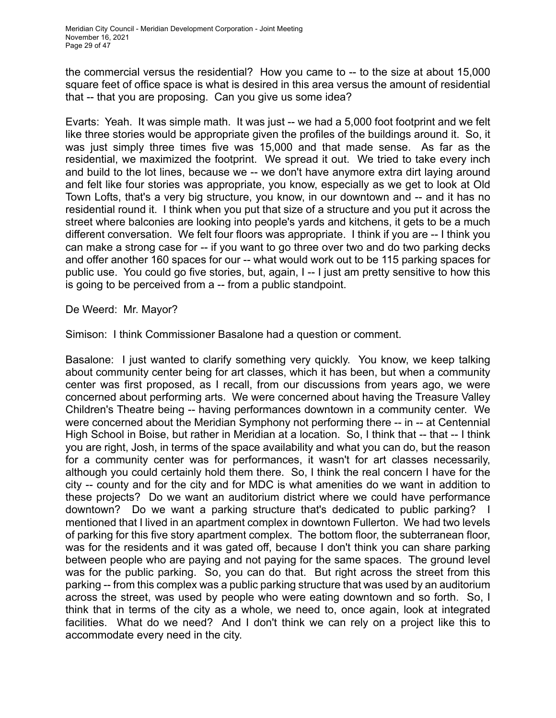the commercial versus the residential? How you came to -- to the size at about 15,000 square feet of office space is what is desired in this area versus the amount of residential that -- that you are proposing. Can you give us some idea?

Evarts: Yeah. It was simple math. It was just -- we had a 5,000 foot footprint and we felt like three stories would be appropriate given the profiles of the buildings around it. So, it was just simply three times five was 15,000 and that made sense. As far as the residential, we maximized the footprint. We spread it out. We tried to take every inch and build to the lot lines, because we -- we don't have anymore extra dirt laying around and felt like four stories was appropriate, you know, especially as we get to look at Old Town Lofts, that's a very big structure, you know, in our downtown and -- and it has no residential round it. I think when you put that size of a structure and you put it across the street where balconies are looking into people's yards and kitchens, it gets to be a much different conversation. We felt four floors was appropriate. I think if you are -- I think you can make a strong case for -- if you want to go three over two and do two parking decks and offer another 160 spaces for our -- what would work out to be 115 parking spaces for public use. You could go five stories, but, again, I -- I just am pretty sensitive to how this is going to be perceived from a -- from a public standpoint.

De Weerd: Mr. Mayor?

Simison: I think Commissioner Basalone had a question or comment.

Basalone: I just wanted to clarify something very quickly. You know, we keep talking about community center being for art classes, which it has been, but when a community center was first proposed, as I recall, from our discussions from years ago, we were concerned about performing arts. We were concerned about having the Treasure Valley Children's Theatre being -- having performances downtown in a community center. We were concerned about the Meridian Symphony not performing there -- in -- at Centennial High School in Boise, but rather in Meridian at a location. So, I think that -- that -- I think you are right, Josh, in terms of the space availability and what you can do, but the reason for a community center was for performances, it wasn't for art classes necessarily, although you could certainly hold them there. So, I think the real concern I have for the city -- county and for the city and for MDC is what amenities do we want in addition to these projects? Do we want an auditorium district where we could have performance downtown? Do we want a parking structure that's dedicated to public parking? I mentioned that I lived in an apartment complex in downtown Fullerton. We had two levels of parking for this five story apartment complex. The bottom floor, the subterranean floor, was for the residents and it was gated off, because I don't think you can share parking between people who are paying and not paying for the same spaces. The ground level was for the public parking. So, you can do that. But right across the street from this parking -- from this complex was a public parking structure that was used by an auditorium across the street, was used by people who were eating downtown and so forth. So, I think that in terms of the city as a whole, we need to, once again, look at integrated facilities. What do we need? And I don't think we can rely on a project like this to accommodate every need in the city.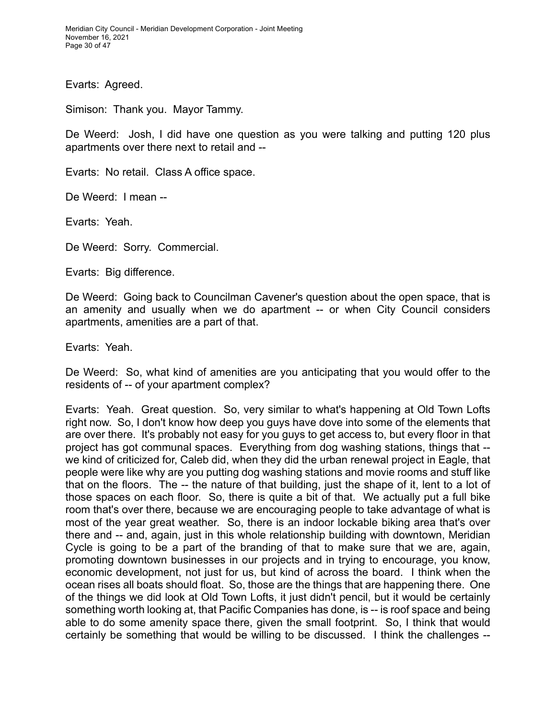Meridian City Council - Meridian Development Corporation - Joint Meeting November 16, 2021 Page 30 of 47

Evarts: Agreed.

Simison: Thank you. Mayor Tammy.

De Weerd: Josh, I did have one question as you were talking and putting 120 plus apartments over there next to retail and --

Evarts: No retail. Class A office space.

De Weerd: I mean --

Evarts: Yeah.

De Weerd: Sorry. Commercial.

Evarts: Big difference.

De Weerd: Going back to Councilman Cavener's question about the open space, that is an amenity and usually when we do apartment -- or when City Council considers apartments, amenities are a part of that.

Evarts: Yeah.

De Weerd: So, what kind of amenities are you anticipating that you would offer to the residents of -- of your apartment complex?

Evarts: Yeah. Great question. So, very similar to what's happening at Old Town Lofts right now. So, I don't know how deep you guys have dove into some of the elements that are over there. It's probably not easy for you guys to get access to, but every floor in that project has got communal spaces. Everything from dog washing stations, things that - we kind of criticized for, Caleb did, when they did the urban renewal project in Eagle, that people were like why are you putting dog washing stations and movie rooms and stuff like that on the floors. The -- the nature of that building, just the shape of it, lent to a lot of those spaces on each floor. So, there is quite a bit of that. We actually put a full bike room that's over there, because we are encouraging people to take advantage of what is most of the year great weather. So, there is an indoor lockable biking area that's over there and -- and, again, just in this whole relationship building with downtown, Meridian Cycle is going to be a part of the branding of that to make sure that we are, again, promoting downtown businesses in our projects and in trying to encourage, you know, economic development, not just for us, but kind of across the board. I think when the ocean rises all boats should float. So, those are the things that are happening there. One of the things we did look at Old Town Lofts, it just didn't pencil, but it would be certainly something worth looking at, that Pacific Companies has done, is -- is roof space and being able to do some amenity space there, given the small footprint. So, I think that would certainly be something that would be willing to be discussed. I think the challenges --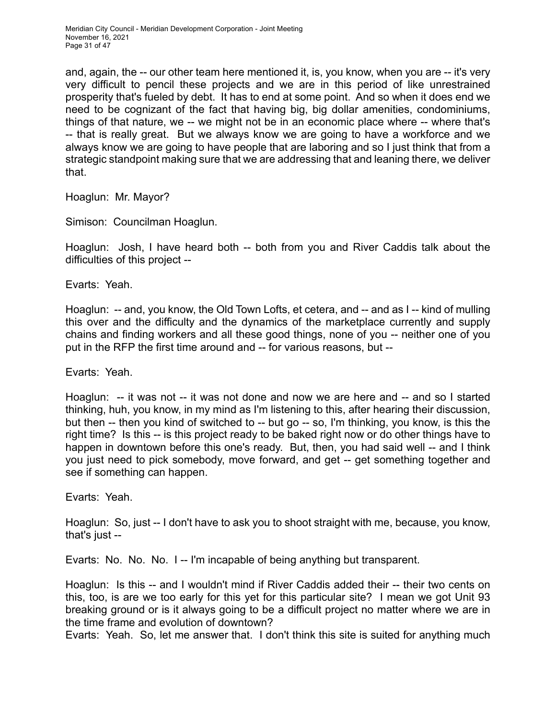and, again, the -- our other team here mentioned it, is, you know, when you are -- it's very very difficult to pencil these projects and we are in this period of like unrestrained prosperity that's fueled by debt. It has to end at some point. And so when it does end we need to be cognizant of the fact that having big, big dollar amenities, condominiums, things of that nature, we -- we might not be in an economic place where -- where that's -- that is really great. But we always know we are going to have a workforce and we always know we are going to have people that are laboring and so I just think that from a strategic standpoint making sure that we are addressing that and leaning there, we deliver that.

Hoaglun: Mr. Mayor?

Simison: Councilman Hoaglun.

Hoaglun: Josh, I have heard both -- both from you and River Caddis talk about the difficulties of this project --

Evarts: Yeah.

Hoaglun: -- and, you know, the Old Town Lofts, et cetera, and -- and as I -- kind of mulling this over and the difficulty and the dynamics of the marketplace currently and supply chains and finding workers and all these good things, none of you -- neither one of you put in the RFP the first time around and -- for various reasons, but --

Evarts: Yeah.

Hoaglun: -- it was not -- it was not done and now we are here and -- and so I started thinking, huh, you know, in my mind as I'm listening to this, after hearing their discussion, but then -- then you kind of switched to -- but go -- so, I'm thinking, you know, is this the right time? Is this -- is this project ready to be baked right now or do other things have to happen in downtown before this one's ready. But, then, you had said well -- and I think you just need to pick somebody, move forward, and get -- get something together and see if something can happen.

Evarts: Yeah.

Hoaglun: So, just -- I don't have to ask you to shoot straight with me, because, you know, that's just --

Evarts: No. No. No. I -- I'm incapable of being anything but transparent.

Hoaglun: Is this -- and I wouldn't mind if River Caddis added their -- their two cents on this, too, is are we too early for this yet for this particular site? I mean we got Unit 93 breaking ground or is it always going to be a difficult project no matter where we are in the time frame and evolution of downtown?

Evarts: Yeah. So, let me answer that. I don't think this site is suited for anything much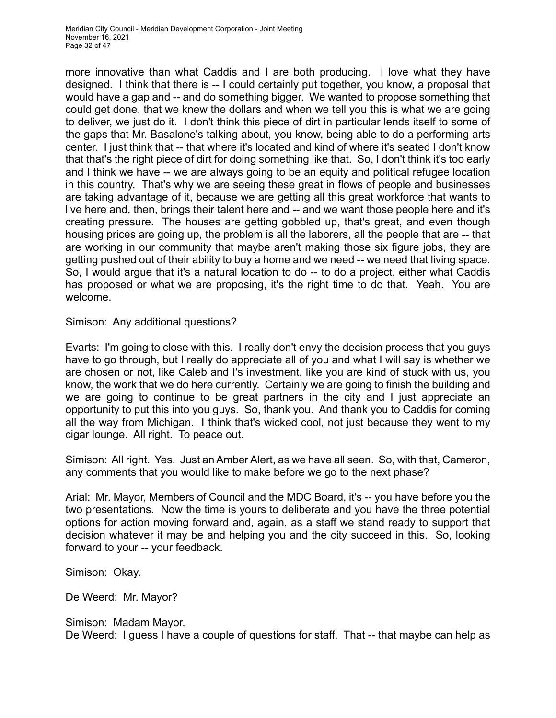more innovative than what Caddis and I are both producing. I love what they have designed. I think that there is -- I could certainly put together, you know, a proposal that would have a gap and -- and do something bigger. We wanted to propose something that could get done, that we knew the dollars and when we tell you this is what we are going to deliver, we just do it. I don't think this piece of dirt in particular lends itself to some of the gaps that Mr. Basalone's talking about, you know, being able to do a performing arts center. I just think that -- that where it's located and kind of where it's seated I don't know that that's the right piece of dirt for doing something like that. So, I don't think it's too early and I think we have -- we are always going to be an equity and political refugee location in this country. That's why we are seeing these great in flows of people and businesses are taking advantage of it, because we are getting all this great workforce that wants to live here and, then, brings their talent here and -- and we want those people here and it's creating pressure. The houses are getting gobbled up, that's great, and even though housing prices are going up, the problem is all the laborers, all the people that are -- that are working in our community that maybe aren't making those six figure jobs, they are getting pushed out of their ability to buy a home and we need -- we need that living space. So, I would argue that it's a natural location to do -- to do a project, either what Caddis has proposed or what we are proposing, it's the right time to do that. Yeah. You are welcome.

Simison: Any additional questions?

Evarts: I'm going to close with this. I really don't envy the decision process that you guys have to go through, but I really do appreciate all of you and what I will say is whether we are chosen or not, like Caleb and I's investment, like you are kind of stuck with us, you know, the work that we do here currently. Certainly we are going to finish the building and we are going to continue to be great partners in the city and I just appreciate an opportunity to put this into you guys. So, thank you. And thank you to Caddis for coming all the way from Michigan. I think that's wicked cool, not just because they went to my cigar lounge. All right. To peace out.

Simison: All right. Yes. Just an Amber Alert, as we have all seen. So, with that, Cameron, any comments that you would like to make before we go to the next phase?

Arial: Mr. Mayor, Members of Council and the MDC Board, it's -- you have before you the two presentations. Now the time is yours to deliberate and you have the three potential options for action moving forward and, again, as a staff we stand ready to support that decision whatever it may be and helping you and the city succeed in this. So, looking forward to your -- your feedback.

Simison: Okay.

De Weerd: Mr. Mayor?

Simison: Madam Mayor. De Weerd: I guess I have a couple of questions for staff. That -- that maybe can help as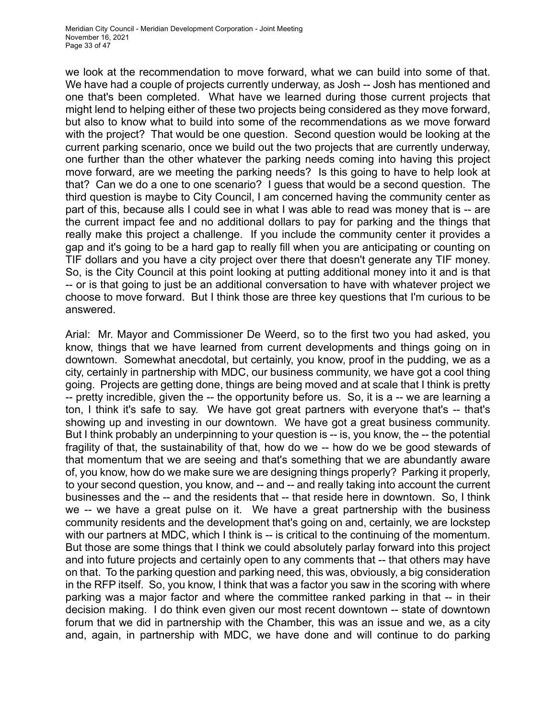we look at the recommendation to move forward, what we can build into some of that. We have had a couple of projects currently underway, as Josh -- Josh has mentioned and one that's been completed. What have we learned during those current projects that might lend to helping either of these two projects being considered as they move forward, but also to know what to build into some of the recommendations as we move forward with the project? That would be one question. Second question would be looking at the current parking scenario, once we build out the two projects that are currently underway, one further than the other whatever the parking needs coming into having this project move forward, are we meeting the parking needs? Is this going to have to help look at that? Can we do a one to one scenario? I guess that would be a second question. The third question is maybe to City Council, I am concerned having the community center as part of this, because alls I could see in what I was able to read was money that is -- are the current impact fee and no additional dollars to pay for parking and the things that really make this project a challenge. If you include the community center it provides a gap and it's going to be a hard gap to really fill when you are anticipating or counting on TIF dollars and you have a city project over there that doesn't generate any TIF money. So, is the City Council at this point looking at putting additional money into it and is that -- or is that going to just be an additional conversation to have with whatever project we choose to move forward. But I think those are three key questions that I'm curious to be answered.

Arial: Mr. Mayor and Commissioner De Weerd, so to the first two you had asked, you know, things that we have learned from current developments and things going on in downtown. Somewhat anecdotal, but certainly, you know, proof in the pudding, we as a city, certainly in partnership with MDC, our business community, we have got a cool thing going. Projects are getting done, things are being moved and at scale that I think is pretty -- pretty incredible, given the -- the opportunity before us. So, it is a -- we are learning a ton, I think it's safe to say. We have got great partners with everyone that's -- that's showing up and investing in our downtown. We have got a great business community. But I think probably an underpinning to your question is -- is, you know, the -- the potential fragility of that, the sustainability of that, how do we -- how do we be good stewards of that momentum that we are seeing and that's something that we are abundantly aware of, you know, how do we make sure we are designing things properly? Parking it properly, to your second question, you know, and -- and -- and really taking into account the current businesses and the -- and the residents that -- that reside here in downtown. So, I think we -- we have a great pulse on it. We have a great partnership with the business community residents and the development that's going on and, certainly, we are lockstep with our partners at MDC, which I think is -- is critical to the continuing of the momentum. But those are some things that I think we could absolutely parlay forward into this project and into future projects and certainly open to any comments that -- that others may have on that. To the parking question and parking need, this was, obviously, a big consideration in the RFP itself. So, you know, I think that was a factor you saw in the scoring with where parking was a major factor and where the committee ranked parking in that -- in their decision making. I do think even given our most recent downtown -- state of downtown forum that we did in partnership with the Chamber, this was an issue and we, as a city and, again, in partnership with MDC, we have done and will continue to do parking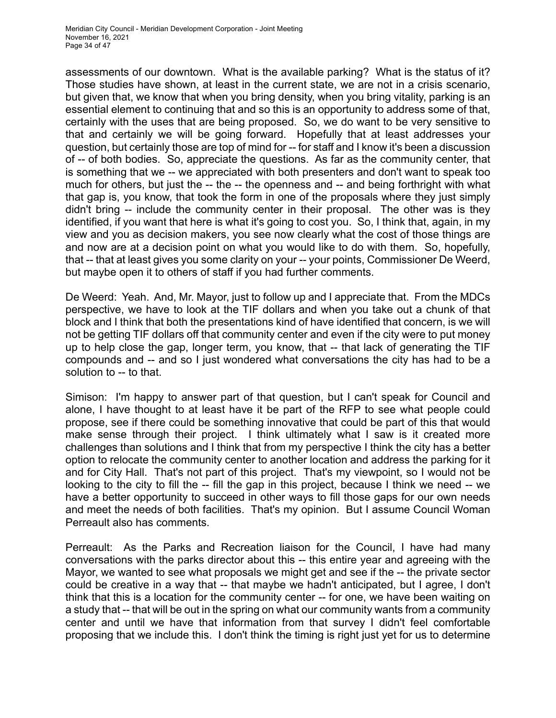assessments of our downtown. What is the available parking? What is the status of it? Those studies have shown, at least in the current state, we are not in a crisis scenario, but given that, we know that when you bring density, when you bring vitality, parking is an essential element to continuing that and so this is an opportunity to address some of that, certainly with the uses that are being proposed. So, we do want to be very sensitive to that and certainly we will be going forward. Hopefully that at least addresses your question, but certainly those are top of mind for -- for staff and I know it's been a discussion of -- of both bodies. So, appreciate the questions. As far as the community center, that is something that we -- we appreciated with both presenters and don't want to speak too much for others, but just the -- the -- the openness and -- and being forthright with what that gap is, you know, that took the form in one of the proposals where they just simply didn't bring -- include the community center in their proposal. The other was is they identified, if you want that here is what it's going to cost you. So, I think that, again, in my view and you as decision makers, you see now clearly what the cost of those things are and now are at a decision point on what you would like to do with them. So, hopefully, that -- that at least gives you some clarity on your -- your points, Commissioner De Weerd, but maybe open it to others of staff if you had further comments.

De Weerd: Yeah. And, Mr. Mayor, just to follow up and I appreciate that. From the MDCs perspective, we have to look at the TIF dollars and when you take out a chunk of that block and I think that both the presentations kind of have identified that concern, is we will not be getting TIF dollars off that community center and even if the city were to put money up to help close the gap, longer term, you know, that -- that lack of generating the TIF compounds and -- and so I just wondered what conversations the city has had to be a solution to -- to that.

Simison: I'm happy to answer part of that question, but I can't speak for Council and alone, I have thought to at least have it be part of the RFP to see what people could propose, see if there could be something innovative that could be part of this that would make sense through their project. I think ultimately what I saw is it created more challenges than solutions and I think that from my perspective I think the city has a better option to relocate the community center to another location and address the parking for it and for City Hall. That's not part of this project. That's my viewpoint, so I would not be looking to the city to fill the -- fill the gap in this project, because I think we need -- we have a better opportunity to succeed in other ways to fill those gaps for our own needs and meet the needs of both facilities. That's my opinion. But I assume Council Woman Perreault also has comments.

Perreault: As the Parks and Recreation liaison for the Council, I have had many conversations with the parks director about this -- this entire year and agreeing with the Mayor, we wanted to see what proposals we might get and see if the -- the private sector could be creative in a way that -- that maybe we hadn't anticipated, but I agree, I don't think that this is a location for the community center -- for one, we have been waiting on a study that -- that will be out in the spring on what our community wants from a community center and until we have that information from that survey I didn't feel comfortable proposing that we include this. I don't think the timing is right just yet for us to determine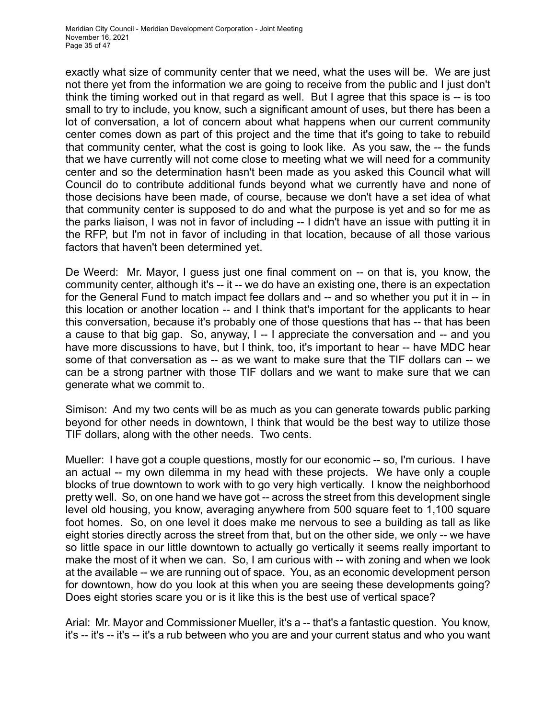exactly what size of community center that we need, what the uses will be. We are just not there yet from the information we are going to receive from the public and I just don't think the timing worked out in that regard as well. But I agree that this space is -- is too small to try to include, you know, such a significant amount of uses, but there has been a lot of conversation, a lot of concern about what happens when our current community center comes down as part of this project and the time that it's going to take to rebuild that community center, what the cost is going to look like. As you saw, the -- the funds that we have currently will not come close to meeting what we will need for a community center and so the determination hasn't been made as you asked this Council what will Council do to contribute additional funds beyond what we currently have and none of those decisions have been made, of course, because we don't have a set idea of what that community center is supposed to do and what the purpose is yet and so for me as the parks liaison, I was not in favor of including -- I didn't have an issue with putting it in the RFP, but I'm not in favor of including in that location, because of all those various factors that haven't been determined yet.

De Weerd: Mr. Mayor, I guess just one final comment on -- on that is, you know, the community center, although it's -- it -- we do have an existing one, there is an expectation for the General Fund to match impact fee dollars and -- and so whether you put it in -- in this location or another location -- and I think that's important for the applicants to hear this conversation, because it's probably one of those questions that has -- that has been a cause to that big gap. So, anyway, I -- I appreciate the conversation and -- and you have more discussions to have, but I think, too, it's important to hear -- have MDC hear some of that conversation as -- as we want to make sure that the TIF dollars can -- we can be a strong partner with those TIF dollars and we want to make sure that we can generate what we commit to.

Simison: And my two cents will be as much as you can generate towards public parking beyond for other needs in downtown, I think that would be the best way to utilize those TIF dollars, along with the other needs. Two cents.

Mueller: I have got a couple questions, mostly for our economic -- so, I'm curious. I have an actual -- my own dilemma in my head with these projects. We have only a couple blocks of true downtown to work with to go very high vertically. I know the neighborhood pretty well. So, on one hand we have got -- across the street from this development single level old housing, you know, averaging anywhere from 500 square feet to 1,100 square foot homes. So, on one level it does make me nervous to see a building as tall as like eight stories directly across the street from that, but on the other side, we only -- we have so little space in our little downtown to actually go vertically it seems really important to make the most of it when we can. So, I am curious with -- with zoning and when we look at the available -- we are running out of space. You, as an economic development person for downtown, how do you look at this when you are seeing these developments going? Does eight stories scare you or is it like this is the best use of vertical space?

Arial: Mr. Mayor and Commissioner Mueller, it's a -- that's a fantastic question. You know, it's -- it's -- it's -- it's a rub between who you are and your current status and who you want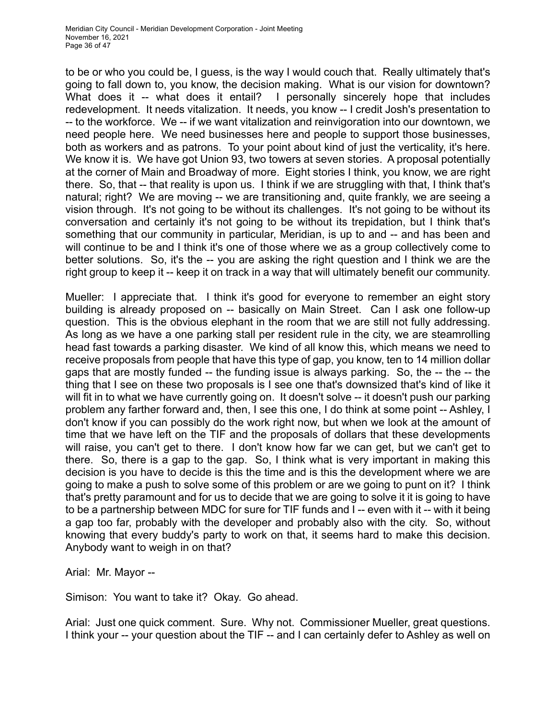to be or who you could be, I guess, is the way I would couch that. Really ultimately that's going to fall down to, you know, the decision making. What is our vision for downtown? What does it -- what does it entail? I personally sincerely hope that includes redevelopment. It needs vitalization. It needs, you know -- I credit Josh's presentation to -- to the workforce. We -- if we want vitalization and reinvigoration into our downtown, we need people here. We need businesses here and people to support those businesses, both as workers and as patrons. To your point about kind of just the verticality, it's here. We know it is. We have got Union 93, two towers at seven stories. A proposal potentially at the corner of Main and Broadway of more. Eight stories I think, you know, we are right there. So, that -- that reality is upon us. I think if we are struggling with that, I think that's natural; right? We are moving -- we are transitioning and, quite frankly, we are seeing a vision through. It's not going to be without its challenges. It's not going to be without its conversation and certainly it's not going to be without its trepidation, but I think that's something that our community in particular, Meridian, is up to and -- and has been and will continue to be and I think it's one of those where we as a group collectively come to better solutions. So, it's the -- you are asking the right question and I think we are the right group to keep it -- keep it on track in a way that will ultimately benefit our community.

Mueller: I appreciate that. I think it's good for everyone to remember an eight story building is already proposed on -- basically on Main Street. Can I ask one follow-up question. This is the obvious elephant in the room that we are still not fully addressing. As long as we have a one parking stall per resident rule in the city, we are steamrolling head fast towards a parking disaster. We kind of all know this, which means we need to receive proposals from people that have this type of gap, you know, ten to 14 million dollar gaps that are mostly funded -- the funding issue is always parking. So, the -- the -- the thing that I see on these two proposals is I see one that's downsized that's kind of like it will fit in to what we have currently going on. It doesn't solve -- it doesn't push our parking problem any farther forward and, then, I see this one, I do think at some point -- Ashley, I don't know if you can possibly do the work right now, but when we look at the amount of time that we have left on the TIF and the proposals of dollars that these developments will raise, you can't get to there. I don't know how far we can get, but we can't get to there. So, there is a gap to the gap. So, I think what is very important in making this decision is you have to decide is this the time and is this the development where we are going to make a push to solve some of this problem or are we going to punt on it? I think that's pretty paramount and for us to decide that we are going to solve it it is going to have to be a partnership between MDC for sure for TIF funds and I -- even with it -- with it being a gap too far, probably with the developer and probably also with the city. So, without knowing that every buddy's party to work on that, it seems hard to make this decision. Anybody want to weigh in on that?

Arial: Mr. Mayor --

Simison: You want to take it? Okay. Go ahead.

Arial: Just one quick comment. Sure. Why not. Commissioner Mueller, great questions. I think your -- your question about the TIF -- and I can certainly defer to Ashley as well on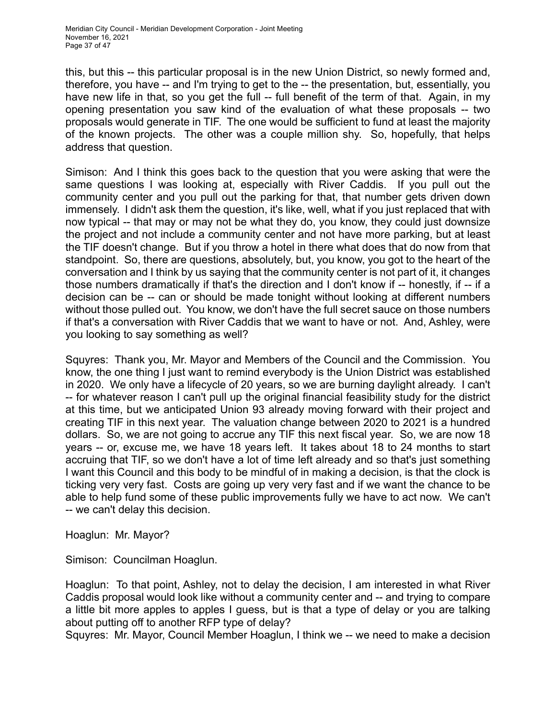this, but this -- this particular proposal is in the new Union District, so newly formed and, therefore, you have -- and I'm trying to get to the -- the presentation, but, essentially, you have new life in that, so you get the full -- full benefit of the term of that. Again, in my opening presentation you saw kind of the evaluation of what these proposals -- two proposals would generate in TIF. The one would be sufficient to fund at least the majority of the known projects. The other was a couple million shy. So, hopefully, that helps address that question.

Simison: And I think this goes back to the question that you were asking that were the same questions I was looking at, especially with River Caddis. If you pull out the community center and you pull out the parking for that, that number gets driven down immensely. I didn't ask them the question, it's like, well, what if you just replaced that with now typical -- that may or may not be what they do, you know, they could just downsize the project and not include a community center and not have more parking, but at least the TIF doesn't change. But if you throw a hotel in there what does that do now from that standpoint. So, there are questions, absolutely, but, you know, you got to the heart of the conversation and I think by us saying that the community center is not part of it, it changes those numbers dramatically if that's the direction and I don't know if -- honestly, if -- if a decision can be -- can or should be made tonight without looking at different numbers without those pulled out. You know, we don't have the full secret sauce on those numbers if that's a conversation with River Caddis that we want to have or not. And, Ashley, were you looking to say something as well?

Squyres: Thank you, Mr. Mayor and Members of the Council and the Commission. You know, the one thing I just want to remind everybody is the Union District was established in 2020. We only have a lifecycle of 20 years, so we are burning daylight already. I can't -- for whatever reason I can't pull up the original financial feasibility study for the district at this time, but we anticipated Union 93 already moving forward with their project and creating TIF in this next year. The valuation change between 2020 to 2021 is a hundred dollars. So, we are not going to accrue any TIF this next fiscal year. So, we are now 18 years -- or, excuse me, we have 18 years left. It takes about 18 to 24 months to start accruing that TIF, so we don't have a lot of time left already and so that's just something I want this Council and this body to be mindful of in making a decision, is that the clock is ticking very very fast. Costs are going up very very fast and if we want the chance to be able to help fund some of these public improvements fully we have to act now. We can't -- we can't delay this decision.

Hoaglun: Mr. Mayor?

Simison: Councilman Hoaglun.

Hoaglun: To that point, Ashley, not to delay the decision, I am interested in what River Caddis proposal would look like without a community center and -- and trying to compare a little bit more apples to apples I guess, but is that a type of delay or you are talking about putting off to another RFP type of delay?

Squyres: Mr. Mayor, Council Member Hoaglun, I think we -- we need to make a decision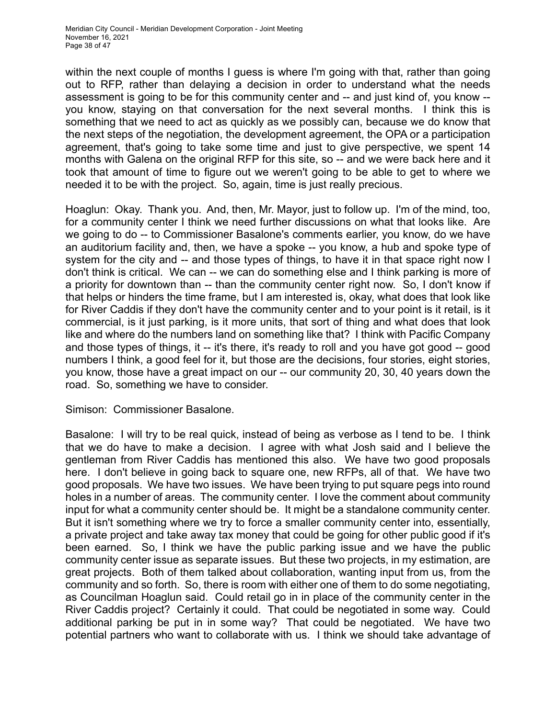within the next couple of months I guess is where I'm going with that, rather than going out to RFP, rather than delaying a decision in order to understand what the needs assessment is going to be for this community center and -- and just kind of, you know - you know, staying on that conversation for the next several months. I think this is something that we need to act as quickly as we possibly can, because we do know that the next steps of the negotiation, the development agreement, the OPA or a participation agreement, that's going to take some time and just to give perspective, we spent 14 months with Galena on the original RFP for this site, so -- and we were back here and it took that amount of time to figure out we weren't going to be able to get to where we needed it to be with the project. So, again, time is just really precious.

Hoaglun: Okay. Thank you. And, then, Mr. Mayor, just to follow up. I'm of the mind, too, for a community center I think we need further discussions on what that looks like. Are we going to do -- to Commissioner Basalone's comments earlier, you know, do we have an auditorium facility and, then, we have a spoke -- you know, a hub and spoke type of system for the city and -- and those types of things, to have it in that space right now I don't think is critical. We can -- we can do something else and I think parking is more of a priority for downtown than -- than the community center right now. So, I don't know if that helps or hinders the time frame, but I am interested is, okay, what does that look like for River Caddis if they don't have the community center and to your point is it retail, is it commercial, is it just parking, is it more units, that sort of thing and what does that look like and where do the numbers land on something like that? I think with Pacific Company and those types of things, it -- it's there, it's ready to roll and you have got good -- good numbers I think, a good feel for it, but those are the decisions, four stories, eight stories, you know, those have a great impact on our -- our community 20, 30, 40 years down the road. So, something we have to consider.

Simison: Commissioner Basalone.

Basalone: I will try to be real quick, instead of being as verbose as I tend to be. I think that we do have to make a decision. I agree with what Josh said and I believe the gentleman from River Caddis has mentioned this also. We have two good proposals here. I don't believe in going back to square one, new RFPs, all of that. We have two good proposals. We have two issues. We have been trying to put square pegs into round holes in a number of areas. The community center. I love the comment about community input for what a community center should be. It might be a standalone community center. But it isn't something where we try to force a smaller community center into, essentially, a private project and take away tax money that could be going for other public good if it's been earned. So, I think we have the public parking issue and we have the public community center issue as separate issues. But these two projects, in my estimation, are great projects. Both of them talked about collaboration, wanting input from us, from the community and so forth. So, there is room with either one of them to do some negotiating, as Councilman Hoaglun said. Could retail go in in place of the community center in the River Caddis project? Certainly it could. That could be negotiated in some way. Could additional parking be put in in some way? That could be negotiated. We have two potential partners who want to collaborate with us. I think we should take advantage of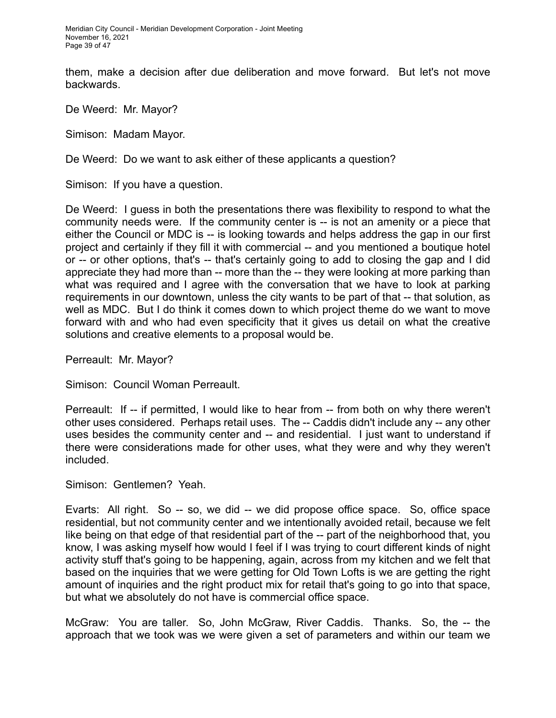them, make a decision after due deliberation and move forward. But let's not move backwards.

De Weerd: Mr. Mayor?

Simison: Madam Mayor.

De Weerd: Do we want to ask either of these applicants a question?

Simison: If you have a question.

De Weerd: I guess in both the presentations there was flexibility to respond to what the community needs were. If the community center is -- is not an amenity or a piece that either the Council or MDC is -- is looking towards and helps address the gap in our first project and certainly if they fill it with commercial -- and you mentioned a boutique hotel or -- or other options, that's -- that's certainly going to add to closing the gap and I did appreciate they had more than -- more than the -- they were looking at more parking than what was required and I agree with the conversation that we have to look at parking requirements in our downtown, unless the city wants to be part of that -- that solution, as well as MDC. But I do think it comes down to which project theme do we want to move forward with and who had even specificity that it gives us detail on what the creative solutions and creative elements to a proposal would be.

Perreault: Mr. Mayor?

Simison: Council Woman Perreault.

Perreault: If -- if permitted, I would like to hear from -- from both on why there weren't other uses considered. Perhaps retail uses. The -- Caddis didn't include any -- any other uses besides the community center and -- and residential. I just want to understand if there were considerations made for other uses, what they were and why they weren't included.

Simison: Gentlemen? Yeah.

Evarts: All right. So -- so, we did -- we did propose office space. So, office space residential, but not community center and we intentionally avoided retail, because we felt like being on that edge of that residential part of the -- part of the neighborhood that, you know, I was asking myself how would I feel if I was trying to court different kinds of night activity stuff that's going to be happening, again, across from my kitchen and we felt that based on the inquiries that we were getting for Old Town Lofts is we are getting the right amount of inquiries and the right product mix for retail that's going to go into that space, but what we absolutely do not have is commercial office space.

McGraw: You are taller. So, John McGraw, River Caddis. Thanks. So, the -- the approach that we took was we were given a set of parameters and within our team we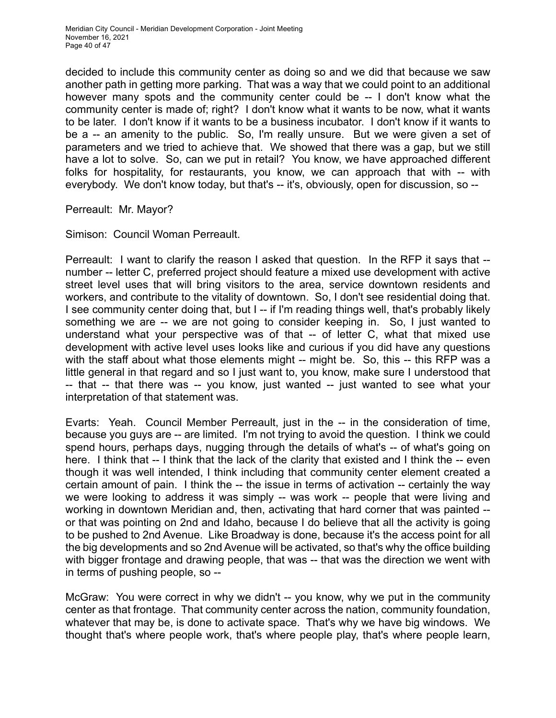decided to include this community center as doing so and we did that because we saw another path in getting more parking. That was a way that we could point to an additional however many spots and the community center could be -- I don't know what the community center is made of; right? I don't know what it wants to be now, what it wants to be later. I don't know if it wants to be a business incubator. I don't know if it wants to be a -- an amenity to the public. So, I'm really unsure. But we were given a set of parameters and we tried to achieve that. We showed that there was a gap, but we still have a lot to solve. So, can we put in retail? You know, we have approached different folks for hospitality, for restaurants, you know, we can approach that with -- with everybody. We don't know today, but that's -- it's, obviously, open for discussion, so --

Perreault: Mr. Mayor?

Simison: Council Woman Perreault.

Perreault: I want to clarify the reason I asked that question. In the RFP it says that - number -- letter C, preferred project should feature a mixed use development with active street level uses that will bring visitors to the area, service downtown residents and workers, and contribute to the vitality of downtown. So, I don't see residential doing that. I see community center doing that, but I -- if I'm reading things well, that's probably likely something we are -- we are not going to consider keeping in. So, I just wanted to understand what your perspective was of that -- of letter C, what that mixed use development with active level uses looks like and curious if you did have any questions with the staff about what those elements might -- might be. So, this -- this RFP was a little general in that regard and so I just want to, you know, make sure I understood that -- that -- that there was -- you know, just wanted -- just wanted to see what your interpretation of that statement was.

Evarts: Yeah. Council Member Perreault, just in the -- in the consideration of time, because you guys are -- are limited. I'm not trying to avoid the question. I think we could spend hours, perhaps days, nugging through the details of what's -- of what's going on here. I think that -- I think that the lack of the clarity that existed and I think the -- even though it was well intended, I think including that community center element created a certain amount of pain. I think the -- the issue in terms of activation -- certainly the way we were looking to address it was simply -- was work -- people that were living and working in downtown Meridian and, then, activating that hard corner that was painted - or that was pointing on 2nd and Idaho, because I do believe that all the activity is going to be pushed to 2nd Avenue. Like Broadway is done, because it's the access point for all the big developments and so 2nd Avenue will be activated, so that's why the office building with bigger frontage and drawing people, that was -- that was the direction we went with in terms of pushing people, so --

McGraw: You were correct in why we didn't -- you know, why we put in the community center as that frontage. That community center across the nation, community foundation, whatever that may be, is done to activate space. That's why we have big windows. We thought that's where people work, that's where people play, that's where people learn,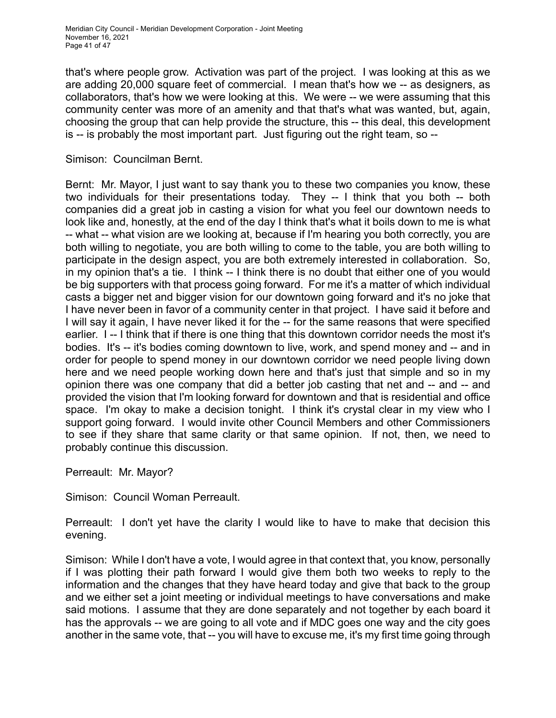that's where people grow. Activation was part of the project. I was looking at this as we are adding 20,000 square feet of commercial. I mean that's how we -- as designers, as collaborators, that's how we were looking at this. We were -- we were assuming that this community center was more of an amenity and that that's what was wanted, but, again, choosing the group that can help provide the structure, this -- this deal, this development is -- is probably the most important part. Just figuring out the right team, so --

## Simison: Councilman Bernt.

Bernt: Mr. Mayor, I just want to say thank you to these two companies you know, these two individuals for their presentations today. They -- I think that you both -- both companies did a great job in casting a vision for what you feel our downtown needs to look like and, honestly, at the end of the day I think that's what it boils down to me is what -- what -- what vision are we looking at, because if I'm hearing you both correctly, you are both willing to negotiate, you are both willing to come to the table, you are both willing to participate in the design aspect, you are both extremely interested in collaboration. So, in my opinion that's a tie. I think -- I think there is no doubt that either one of you would be big supporters with that process going forward. For me it's a matter of which individual casts a bigger net and bigger vision for our downtown going forward and it's no joke that I have never been in favor of a community center in that project. I have said it before and I will say it again, I have never liked it for the -- for the same reasons that were specified earlier. I -- I think that if there is one thing that this downtown corridor needs the most it's bodies. It's -- it's bodies coming downtown to live, work, and spend money and -- and in order for people to spend money in our downtown corridor we need people living down here and we need people working down here and that's just that simple and so in my opinion there was one company that did a better job casting that net and -- and -- and provided the vision that I'm looking forward for downtown and that is residential and office space. I'm okay to make a decision tonight. I think it's crystal clear in my view who I support going forward. I would invite other Council Members and other Commissioners to see if they share that same clarity or that same opinion. If not, then, we need to probably continue this discussion.

Perreault: Mr. Mayor?

Simison: Council Woman Perreault.

Perreault: I don't yet have the clarity I would like to have to make that decision this evening.

Simison: While I don't have a vote, I would agree in that context that, you know, personally if I was plotting their path forward I would give them both two weeks to reply to the information and the changes that they have heard today and give that back to the group and we either set a joint meeting or individual meetings to have conversations and make said motions. I assume that they are done separately and not together by each board it has the approvals -- we are going to all vote and if MDC goes one way and the city goes another in the same vote, that -- you will have to excuse me, it's my first time going through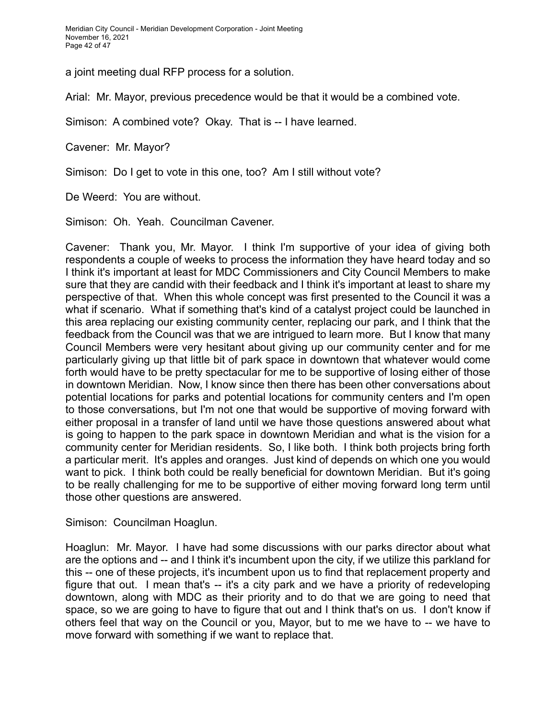a joint meeting dual RFP process for a solution.

Arial: Mr. Mayor, previous precedence would be that it would be a combined vote.

Simison: A combined vote? Okay. That is -- I have learned.

Cavener: Mr. Mayor?

Simison: Do I get to vote in this one, too? Am I still without vote?

De Weerd: You are without.

Simison: Oh. Yeah. Councilman Cavener.

Cavener: Thank you, Mr. Mayor. I think I'm supportive of your idea of giving both respondents a couple of weeks to process the information they have heard today and so I think it's important at least for MDC Commissioners and City Council Members to make sure that they are candid with their feedback and I think it's important at least to share my perspective of that. When this whole concept was first presented to the Council it was a what if scenario. What if something that's kind of a catalyst project could be launched in this area replacing our existing community center, replacing our park, and I think that the feedback from the Council was that we are intrigued to learn more. But I know that many Council Members were very hesitant about giving up our community center and for me particularly giving up that little bit of park space in downtown that whatever would come forth would have to be pretty spectacular for me to be supportive of losing either of those in downtown Meridian. Now, I know since then there has been other conversations about potential locations for parks and potential locations for community centers and I'm open to those conversations, but I'm not one that would be supportive of moving forward with either proposal in a transfer of land until we have those questions answered about what is going to happen to the park space in downtown Meridian and what is the vision for a community center for Meridian residents. So, I like both. I think both projects bring forth a particular merit. It's apples and oranges. Just kind of depends on which one you would want to pick. I think both could be really beneficial for downtown Meridian. But it's going to be really challenging for me to be supportive of either moving forward long term until those other questions are answered.

Simison: Councilman Hoaglun.

Hoaglun: Mr. Mayor. I have had some discussions with our parks director about what are the options and -- and I think it's incumbent upon the city, if we utilize this parkland for this -- one of these projects, it's incumbent upon us to find that replacement property and figure that out. I mean that's -- it's a city park and we have a priority of redeveloping downtown, along with MDC as their priority and to do that we are going to need that space, so we are going to have to figure that out and I think that's on us. I don't know if others feel that way on the Council or you, Mayor, but to me we have to -- we have to move forward with something if we want to replace that.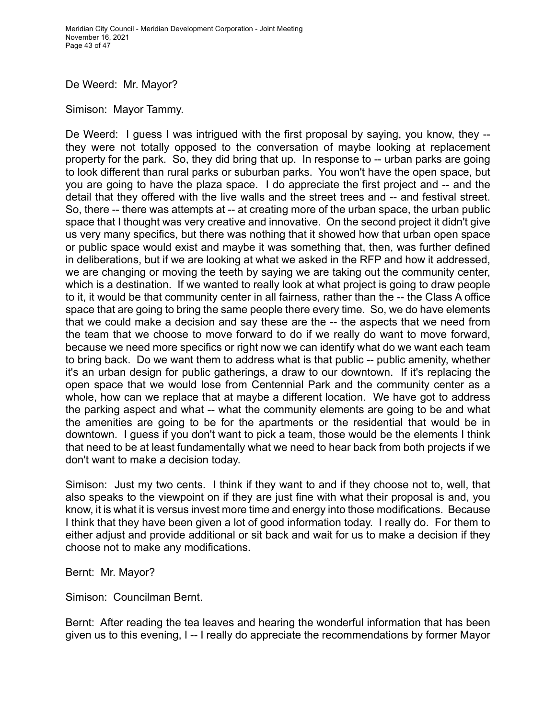De Weerd: Mr. Mayor?

Simison: Mayor Tammy.

De Weerd: I guess I was intrigued with the first proposal by saying, you know, they -they were not totally opposed to the conversation of maybe looking at replacement property for the park. So, they did bring that up. In response to -- urban parks are going to look different than rural parks or suburban parks. You won't have the open space, but you are going to have the plaza space. I do appreciate the first project and -- and the detail that they offered with the live walls and the street trees and -- and festival street. So, there -- there was attempts at -- at creating more of the urban space, the urban public space that I thought was very creative and innovative. On the second project it didn't give us very many specifics, but there was nothing that it showed how that urban open space or public space would exist and maybe it was something that, then, was further defined in deliberations, but if we are looking at what we asked in the RFP and how it addressed, we are changing or moving the teeth by saying we are taking out the community center, which is a destination. If we wanted to really look at what project is going to draw people to it, it would be that community center in all fairness, rather than the -- the Class A office space that are going to bring the same people there every time. So, we do have elements that we could make a decision and say these are the -- the aspects that we need from the team that we choose to move forward to do if we really do want to move forward, because we need more specifics or right now we can identify what do we want each team to bring back. Do we want them to address what is that public -- public amenity, whether it's an urban design for public gatherings, a draw to our downtown. If it's replacing the open space that we would lose from Centennial Park and the community center as a whole, how can we replace that at maybe a different location. We have got to address the parking aspect and what -- what the community elements are going to be and what the amenities are going to be for the apartments or the residential that would be in downtown. I guess if you don't want to pick a team, those would be the elements I think that need to be at least fundamentally what we need to hear back from both projects if we don't want to make a decision today.

Simison: Just my two cents. I think if they want to and if they choose not to, well, that also speaks to the viewpoint on if they are just fine with what their proposal is and, you know, it is what it is versus invest more time and energy into those modifications. Because I think that they have been given a lot of good information today. I really do. For them to either adjust and provide additional or sit back and wait for us to make a decision if they choose not to make any modifications.

Bernt: Mr. Mayor?

Simison: Councilman Bernt.

Bernt: After reading the tea leaves and hearing the wonderful information that has been given us to this evening, I -- I really do appreciate the recommendations by former Mayor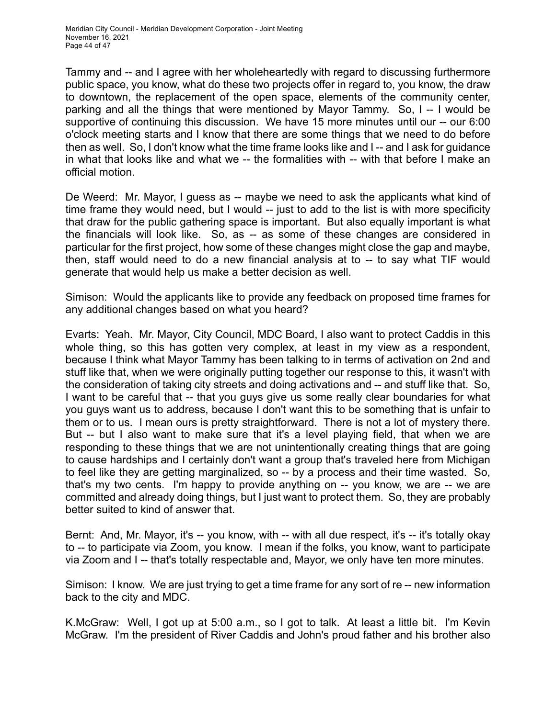Tammy and -- and I agree with her wholeheartedly with regard to discussing furthermore public space, you know, what do these two projects offer in regard to, you know, the draw to downtown, the replacement of the open space, elements of the community center, parking and all the things that were mentioned by Mayor Tammy. So, I -- I would be supportive of continuing this discussion. We have 15 more minutes until our -- our 6:00 o'clock meeting starts and I know that there are some things that we need to do before then as well. So, I don't know what the time frame looks like and I -- and I ask for guidance in what that looks like and what we -- the formalities with -- with that before I make an official motion.

De Weerd: Mr. Mayor, I guess as -- maybe we need to ask the applicants what kind of time frame they would need, but I would -- just to add to the list is with more specificity that draw for the public gathering space is important. But also equally important is what the financials will look like. So, as -- as some of these changes are considered in particular for the first project, how some of these changes might close the gap and maybe, then, staff would need to do a new financial analysis at to -- to say what TIF would generate that would help us make a better decision as well.

Simison: Would the applicants like to provide any feedback on proposed time frames for any additional changes based on what you heard?

Evarts: Yeah. Mr. Mayor, City Council, MDC Board, I also want to protect Caddis in this whole thing, so this has gotten very complex, at least in my view as a respondent, because I think what Mayor Tammy has been talking to in terms of activation on 2nd and stuff like that, when we were originally putting together our response to this, it wasn't with the consideration of taking city streets and doing activations and -- and stuff like that. So, I want to be careful that -- that you guys give us some really clear boundaries for what you guys want us to address, because I don't want this to be something that is unfair to them or to us. I mean ours is pretty straightforward. There is not a lot of mystery there. But -- but I also want to make sure that it's a level playing field, that when we are responding to these things that we are not unintentionally creating things that are going to cause hardships and I certainly don't want a group that's traveled here from Michigan to feel like they are getting marginalized, so -- by a process and their time wasted. So, that's my two cents. I'm happy to provide anything on -- you know, we are -- we are committed and already doing things, but I just want to protect them. So, they are probably better suited to kind of answer that.

Bernt: And, Mr. Mayor, it's -- you know, with -- with all due respect, it's -- it's totally okay to -- to participate via Zoom, you know. I mean if the folks, you know, want to participate via Zoom and I -- that's totally respectable and, Mayor, we only have ten more minutes.

Simison: I know. We are just trying to get a time frame for any sort of re -- new information back to the city and MDC.

K.McGraw: Well, I got up at 5:00 a.m., so I got to talk. At least a little bit. I'm Kevin McGraw. I'm the president of River Caddis and John's proud father and his brother also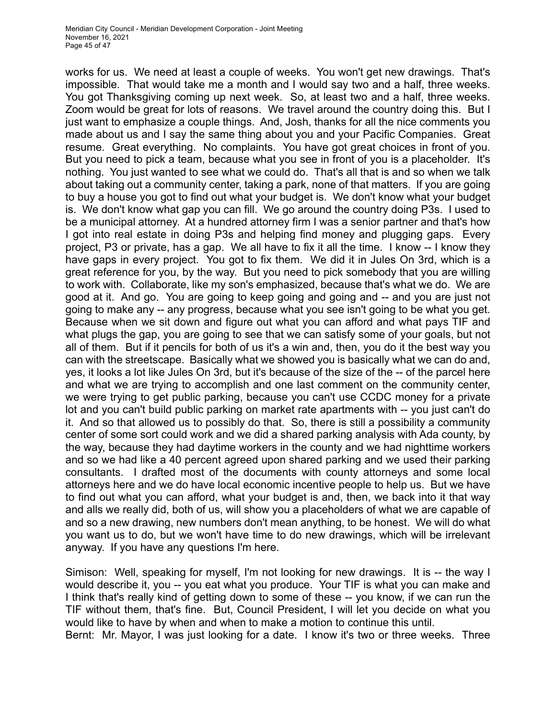works for us. We need at least a couple of weeks. You won't get new drawings. That's impossible. That would take me a month and I would say two and a half, three weeks. You got Thanksgiving coming up next week. So, at least two and a half, three weeks. Zoom would be great for lots of reasons. We travel around the country doing this. But I just want to emphasize a couple things. And, Josh, thanks for all the nice comments you made about us and I say the same thing about you and your Pacific Companies. Great resume. Great everything. No complaints. You have got great choices in front of you. But you need to pick a team, because what you see in front of you is a placeholder. It's nothing. You just wanted to see what we could do. That's all that is and so when we talk about taking out a community center, taking a park, none of that matters. If you are going to buy a house you got to find out what your budget is. We don't know what your budget is. We don't know what gap you can fill. We go around the country doing P3s. I used to be a municipal attorney. At a hundred attorney firm I was a senior partner and that's how I got into real estate in doing P3s and helping find money and plugging gaps. Every project, P3 or private, has a gap. We all have to fix it all the time. I know -- I know they have gaps in every project. You got to fix them. We did it in Jules On 3rd, which is a great reference for you, by the way. But you need to pick somebody that you are willing to work with. Collaborate, like my son's emphasized, because that's what we do. We are good at it. And go. You are going to keep going and going and -- and you are just not going to make any -- any progress, because what you see isn't going to be what you get. Because when we sit down and figure out what you can afford and what pays TIF and what plugs the gap, you are going to see that we can satisfy some of your goals, but not all of them. But if it pencils for both of us it's a win and, then, you do it the best way you can with the streetscape. Basically what we showed you is basically what we can do and, yes, it looks a lot like Jules On 3rd, but it's because of the size of the -- of the parcel here and what we are trying to accomplish and one last comment on the community center, we were trying to get public parking, because you can't use CCDC money for a private lot and you can't build public parking on market rate apartments with -- you just can't do it. And so that allowed us to possibly do that. So, there is still a possibility a community center of some sort could work and we did a shared parking analysis with Ada county, by the way, because they had daytime workers in the county and we had nighttime workers and so we had like a 40 percent agreed upon shared parking and we used their parking consultants. I drafted most of the documents with county attorneys and some local attorneys here and we do have local economic incentive people to help us. But we have to find out what you can afford, what your budget is and, then, we back into it that way and alls we really did, both of us, will show you a placeholders of what we are capable of and so a new drawing, new numbers don't mean anything, to be honest. We will do what you want us to do, but we won't have time to do new drawings, which will be irrelevant anyway. If you have any questions I'm here.

Simison: Well, speaking for myself, I'm not looking for new drawings. It is -- the way I would describe it, you -- you eat what you produce. Your TIF is what you can make and I think that's really kind of getting down to some of these -- you know, if we can run the TIF without them, that's fine. But, Council President, I will let you decide on what you would like to have by when and when to make a motion to continue this until.

Bernt: Mr. Mayor, I was just looking for a date. I know it's two or three weeks. Three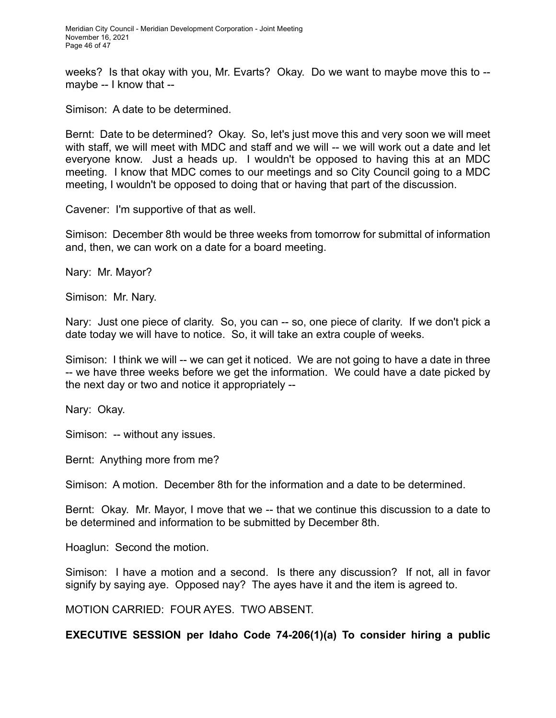weeks? Is that okay with you, Mr. Evarts? Okay. Do we want to maybe move this to - maybe -- I know that --

Simison: A date to be determined.

Bernt: Date to be determined? Okay. So, let's just move this and very soon we will meet with staff, we will meet with MDC and staff and we will -- we will work out a date and let everyone know. Just a heads up. I wouldn't be opposed to having this at an MDC meeting. I know that MDC comes to our meetings and so City Council going to a MDC meeting, I wouldn't be opposed to doing that or having that part of the discussion.

Cavener: I'm supportive of that as well.

Simison: December 8th would be three weeks from tomorrow for submittal of information and, then, we can work on a date for a board meeting.

Nary: Mr. Mayor?

Simison: Mr. Nary.

Nary: Just one piece of clarity. So, you can -- so, one piece of clarity. If we don't pick a date today we will have to notice. So, it will take an extra couple of weeks.

Simison: I think we will -- we can get it noticed. We are not going to have a date in three -- we have three weeks before we get the information. We could have a date picked by the next day or two and notice it appropriately --

Nary: Okay.

Simison: -- without any issues.

Bernt: Anything more from me?

Simison: A motion. December 8th for the information and a date to be determined.

Bernt: Okay. Mr. Mayor, I move that we -- that we continue this discussion to a date to be determined and information to be submitted by December 8th.

Hoaglun: Second the motion.

Simison: I have a motion and a second. Is there any discussion? If not, all in favor signify by saying aye. Opposed nay? The ayes have it and the item is agreed to.

MOTION CARRIED: FOUR AYES. TWO ABSENT.

**EXECUTIVE SESSION per Idaho Code 74-206(1)(a) To consider hiring a public**